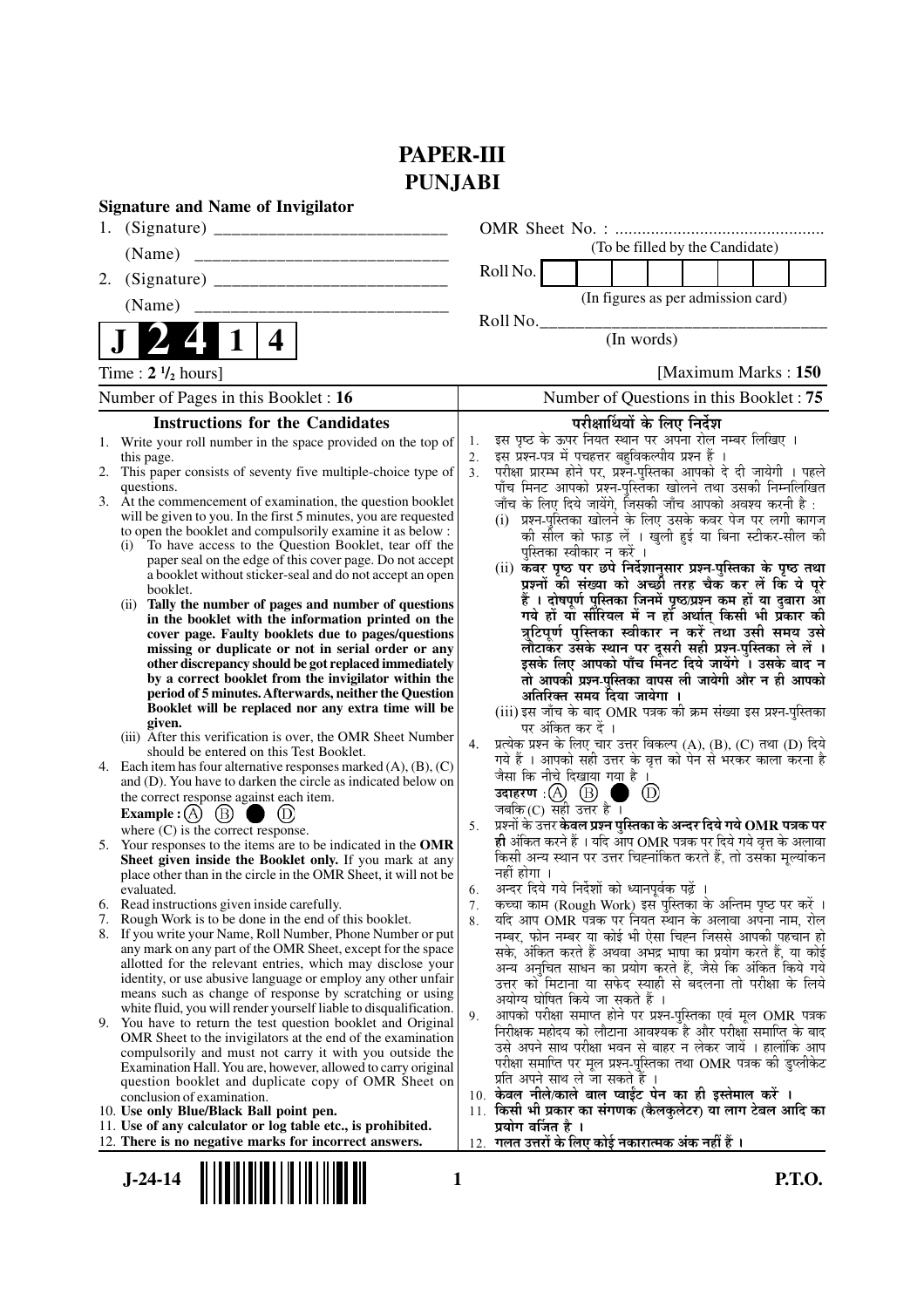## **PAPER-III PUNJABI**

| <b>Signature and Name of Invigilator</b>                                                                                                                                                                                                                                                                                                                                                                                                                                                                                                                                                                                                                                                                                                                                                                                                                                                                                                                                                                                                                                                                                                                                                                                                                                                                                                                                                                                                                                                                                                                                                                                                                                                                                                                                                                                                                                                                                                                                                                                                                                                                                                                                                                                                                                                                                                          |                                                                                                                                                                                                                                                                                                                                                                                                                                                                                                                                                                                                                                                                                                                                                                                                                                                                                                                                                                                                                                                                                                                                                                                                                                                                                                                                                                                                                                                                                                                                                                                                                                                                                                                                                                                                                                                                                                                                                                                                                                                                                                                                                                                                                                                                                                                                   |
|---------------------------------------------------------------------------------------------------------------------------------------------------------------------------------------------------------------------------------------------------------------------------------------------------------------------------------------------------------------------------------------------------------------------------------------------------------------------------------------------------------------------------------------------------------------------------------------------------------------------------------------------------------------------------------------------------------------------------------------------------------------------------------------------------------------------------------------------------------------------------------------------------------------------------------------------------------------------------------------------------------------------------------------------------------------------------------------------------------------------------------------------------------------------------------------------------------------------------------------------------------------------------------------------------------------------------------------------------------------------------------------------------------------------------------------------------------------------------------------------------------------------------------------------------------------------------------------------------------------------------------------------------------------------------------------------------------------------------------------------------------------------------------------------------------------------------------------------------------------------------------------------------------------------------------------------------------------------------------------------------------------------------------------------------------------------------------------------------------------------------------------------------------------------------------------------------------------------------------------------------------------------------------------------------------------------------------------------------|-----------------------------------------------------------------------------------------------------------------------------------------------------------------------------------------------------------------------------------------------------------------------------------------------------------------------------------------------------------------------------------------------------------------------------------------------------------------------------------------------------------------------------------------------------------------------------------------------------------------------------------------------------------------------------------------------------------------------------------------------------------------------------------------------------------------------------------------------------------------------------------------------------------------------------------------------------------------------------------------------------------------------------------------------------------------------------------------------------------------------------------------------------------------------------------------------------------------------------------------------------------------------------------------------------------------------------------------------------------------------------------------------------------------------------------------------------------------------------------------------------------------------------------------------------------------------------------------------------------------------------------------------------------------------------------------------------------------------------------------------------------------------------------------------------------------------------------------------------------------------------------------------------------------------------------------------------------------------------------------------------------------------------------------------------------------------------------------------------------------------------------------------------------------------------------------------------------------------------------------------------------------------------------------------------------------------------------|
| 1.                                                                                                                                                                                                                                                                                                                                                                                                                                                                                                                                                                                                                                                                                                                                                                                                                                                                                                                                                                                                                                                                                                                                                                                                                                                                                                                                                                                                                                                                                                                                                                                                                                                                                                                                                                                                                                                                                                                                                                                                                                                                                                                                                                                                                                                                                                                                                |                                                                                                                                                                                                                                                                                                                                                                                                                                                                                                                                                                                                                                                                                                                                                                                                                                                                                                                                                                                                                                                                                                                                                                                                                                                                                                                                                                                                                                                                                                                                                                                                                                                                                                                                                                                                                                                                                                                                                                                                                                                                                                                                                                                                                                                                                                                                   |
| (Name)<br>________________________________                                                                                                                                                                                                                                                                                                                                                                                                                                                                                                                                                                                                                                                                                                                                                                                                                                                                                                                                                                                                                                                                                                                                                                                                                                                                                                                                                                                                                                                                                                                                                                                                                                                                                                                                                                                                                                                                                                                                                                                                                                                                                                                                                                                                                                                                                                        | (To be filled by the Candidate)                                                                                                                                                                                                                                                                                                                                                                                                                                                                                                                                                                                                                                                                                                                                                                                                                                                                                                                                                                                                                                                                                                                                                                                                                                                                                                                                                                                                                                                                                                                                                                                                                                                                                                                                                                                                                                                                                                                                                                                                                                                                                                                                                                                                                                                                                                   |
| 2.                                                                                                                                                                                                                                                                                                                                                                                                                                                                                                                                                                                                                                                                                                                                                                                                                                                                                                                                                                                                                                                                                                                                                                                                                                                                                                                                                                                                                                                                                                                                                                                                                                                                                                                                                                                                                                                                                                                                                                                                                                                                                                                                                                                                                                                                                                                                                | Roll No.                                                                                                                                                                                                                                                                                                                                                                                                                                                                                                                                                                                                                                                                                                                                                                                                                                                                                                                                                                                                                                                                                                                                                                                                                                                                                                                                                                                                                                                                                                                                                                                                                                                                                                                                                                                                                                                                                                                                                                                                                                                                                                                                                                                                                                                                                                                          |
| (Name)                                                                                                                                                                                                                                                                                                                                                                                                                                                                                                                                                                                                                                                                                                                                                                                                                                                                                                                                                                                                                                                                                                                                                                                                                                                                                                                                                                                                                                                                                                                                                                                                                                                                                                                                                                                                                                                                                                                                                                                                                                                                                                                                                                                                                                                                                                                                            | (In figures as per admission card)                                                                                                                                                                                                                                                                                                                                                                                                                                                                                                                                                                                                                                                                                                                                                                                                                                                                                                                                                                                                                                                                                                                                                                                                                                                                                                                                                                                                                                                                                                                                                                                                                                                                                                                                                                                                                                                                                                                                                                                                                                                                                                                                                                                                                                                                                                |
| 4                                                                                                                                                                                                                                                                                                                                                                                                                                                                                                                                                                                                                                                                                                                                                                                                                                                                                                                                                                                                                                                                                                                                                                                                                                                                                                                                                                                                                                                                                                                                                                                                                                                                                                                                                                                                                                                                                                                                                                                                                                                                                                                                                                                                                                                                                                                                                 | Roll No.<br>(In words)                                                                                                                                                                                                                                                                                                                                                                                                                                                                                                                                                                                                                                                                                                                                                                                                                                                                                                                                                                                                                                                                                                                                                                                                                                                                                                                                                                                                                                                                                                                                                                                                                                                                                                                                                                                                                                                                                                                                                                                                                                                                                                                                                                                                                                                                                                            |
| Time : $2 \frac{1}{2}$ hours]                                                                                                                                                                                                                                                                                                                                                                                                                                                                                                                                                                                                                                                                                                                                                                                                                                                                                                                                                                                                                                                                                                                                                                                                                                                                                                                                                                                                                                                                                                                                                                                                                                                                                                                                                                                                                                                                                                                                                                                                                                                                                                                                                                                                                                                                                                                     | [Maximum Marks: 150]                                                                                                                                                                                                                                                                                                                                                                                                                                                                                                                                                                                                                                                                                                                                                                                                                                                                                                                                                                                                                                                                                                                                                                                                                                                                                                                                                                                                                                                                                                                                                                                                                                                                                                                                                                                                                                                                                                                                                                                                                                                                                                                                                                                                                                                                                                              |
| Number of Pages in this Booklet : 16                                                                                                                                                                                                                                                                                                                                                                                                                                                                                                                                                                                                                                                                                                                                                                                                                                                                                                                                                                                                                                                                                                                                                                                                                                                                                                                                                                                                                                                                                                                                                                                                                                                                                                                                                                                                                                                                                                                                                                                                                                                                                                                                                                                                                                                                                                              | Number of Questions in this Booklet: 75                                                                                                                                                                                                                                                                                                                                                                                                                                                                                                                                                                                                                                                                                                                                                                                                                                                                                                                                                                                                                                                                                                                                                                                                                                                                                                                                                                                                                                                                                                                                                                                                                                                                                                                                                                                                                                                                                                                                                                                                                                                                                                                                                                                                                                                                                           |
| <b>Instructions for the Candidates</b>                                                                                                                                                                                                                                                                                                                                                                                                                                                                                                                                                                                                                                                                                                                                                                                                                                                                                                                                                                                                                                                                                                                                                                                                                                                                                                                                                                                                                                                                                                                                                                                                                                                                                                                                                                                                                                                                                                                                                                                                                                                                                                                                                                                                                                                                                                            | परीक्षार्थियों के लिए निर्देश                                                                                                                                                                                                                                                                                                                                                                                                                                                                                                                                                                                                                                                                                                                                                                                                                                                                                                                                                                                                                                                                                                                                                                                                                                                                                                                                                                                                                                                                                                                                                                                                                                                                                                                                                                                                                                                                                                                                                                                                                                                                                                                                                                                                                                                                                                     |
| 1. Write your roll number in the space provided on the top of<br>this page.<br>2. This paper consists of seventy five multiple-choice type of<br>questions.<br>3. At the commencement of examination, the question booklet<br>will be given to you. In the first 5 minutes, you are requested<br>to open the booklet and compulsorily examine it as below :<br>To have access to the Question Booklet, tear off the<br>(i)<br>paper seal on the edge of this cover page. Do not accept<br>a booklet without sticker-seal and do not accept an open<br>booklet.<br>Tally the number of pages and number of questions<br>(i)<br>in the booklet with the information printed on the<br>cover page. Faulty booklets due to pages/questions<br>missing or duplicate or not in serial order or any<br>other discrepancy should be got replaced immediately<br>by a correct booklet from the invigilator within the<br>period of 5 minutes. Afterwards, neither the Question<br>Booklet will be replaced nor any extra time will be<br>given.<br>(iii) After this verification is over, the OMR Sheet Number<br>should be entered on this Test Booklet.<br>4. Each item has four alternative responses marked $(A)$ , $(B)$ , $(C)$<br>and (D). You have to darken the circle as indicated below on<br>the correct response against each item.<br>$\circled{B}$<br><b>Example</b> : $(A)$<br>where $(C)$ is the correct response.<br>5. Your responses to the items are to be indicated in the OMR<br>Sheet given inside the Booklet only. If you mark at any<br>place other than in the circle in the OMR Sheet, it will not be<br>evaluated.<br>Read instructions given inside carefully.<br>6.<br>Rough Work is to be done in the end of this booklet.<br>7.<br>If you write your Name, Roll Number, Phone Number or put<br>8.<br>any mark on any part of the OMR Sheet, except for the space<br>allotted for the relevant entries, which may disclose your<br>identity, or use abusive language or employ any other unfair<br>means such as change of response by scratching or using<br>white fluid, you will render yourself liable to disqualification.<br>9. You have to return the test question booklet and Original<br>OMR Sheet to the invigilators at the end of the examination<br>compulsorily and must not carry it with you outside the | इस पृष्ठ के ऊपर नियत स्थान पर अपना रोल नम्बर लिखिए ।<br>1.<br>इस प्रश्न-पत्र में पचहत्तर बहुविकल्पीय प्रश्न हैं ।<br>2.<br>परीक्षा प्रारम्भ होने पर, प्रश्नॅ-पुस्तिका आपको दे दी जायेगी । पहले<br>पाँच मिनट आपको प्रश्न-पुस्तिका खोलने तथा उसकी निम्नलिखित<br>3 <sub>1</sub><br>जाँच के लिए दिये जायेंगे, जिसकी जाँच आपको अवश्य करनी है :<br>(i) प्रश्न-पुस्तिका खोलने के लिए उसके कवर पेज पर लगी कागज<br>की सील को फाड़ लें । खुली हुई या बिना स्टीकर-सील की<br>पुस्तिका स्वीकार न करें ।<br>(ii) कवर पृष्ठ पर छपे निर्देशानुसार प्रश्न-पुस्तिका के पृष्ठ तथा<br>प्रश्नों की संख्या को अच्छी तरह चैक कर लें कि ये पूरे<br>हैं । दोषपूर्ण पुस्तिका जिनमें पृष्ठ/प्रश्न कम हों या दुबारा आ<br>गये हों या सीरियल में न हो अर्थात् किसी भी प्रकार की<br>त्रुटिपूर्ण पुस्तिका स्वीकार न करें तथा उसी समय उसे<br>लौटाकर उसके स्थान पर दूसरी सही प्रश्न-पुस्तिका ले लें ।<br>इसके लिए आपको पाँच मिनट दिये जायेंगे । उसके बाद न<br>तो आपकी प्रश्न-पुस्तिका वापस ली जायेगी और न ही आपको<br>अतिरिक्त समय दिया जायेगा ।<br>(iii) इस जाँच के बाद OMR पत्रक की क्रम संख्या इस प्रश्न-पुस्तिका<br>पर अंकित कर दें ।<br>प्रत्येक प्रश्न के लिए चार उत्तर विकल्प (A), (B), (C) तथा (D) दिये<br>4.<br>गये हैं । आपको सही उत्तर के वृत्त को पेन से भरकर काला करना है<br>जैसा कि नीचे दिखाया गया है ।<br>उदाहरण $\,$ : $(A)$ $\,$ $(B)$ $\,$<br>$\left(\mathrm{D}\right)$<br>जबकि $(C)$ सही उत्तर है ।<br>प्रश्नों के उत्तर <b>केवल प्रश्न पुस्तिका के अन्दर दिये गये OMR पत्रक पर</b><br>5.<br>ही अंकित करने हैं । यदि आप OMR पत्रक पर दिये गये वृत्त के अलावा<br>किसी अन्य स्थान पर उत्तर चिह्नांकित करते हैं, तो उसका मूल्यांकन<br>नहीं होगा ।<br>अन्दर दिये गये निर्देशों को ध्यानपूर्वकू पढ़ें ।<br>6.<br>कच्चा काम (Rough Work) इस पुस्तिका के अन्तिम पृष्ठ पर करें ।<br>7.<br>यदि आप OMR पत्रक पर नियत स्थान के अलावा अपना नाम, रोल<br>8.<br>नम्बर, फोन नम्बर या कोई भी ऐसा चिह्न जिससे आपकी पहचान हो<br>सके, अंकित करते हैं अथवा अभद्र भाषा का प्रयोग करते हैं, या कोई<br>अन्य अनुचित साधन का प्रयोग करते हैं, जैसे कि अंकित किये गये<br>उत्तर को मिटाना या सफेद स्याही से बदलना तो परीक्षा के लिये<br>अयोग्य घोषित किये जा सकते हैं ।<br>आपको परीक्षा समाप्त होने पर प्रश्न-पुस्तिका एवं मूल OMR पत्रक<br>9.<br>निरीक्षक महोदय को लौटाना आवश्यक है और परीक्षा समाप्ति के बाद<br>उसे अपने साथ परीक्षा भवन से बाहर न लेकर जायें । हालांकि आप |
| Examination Hall. You are, however, allowed to carry original<br>question booklet and duplicate copy of OMR Sheet on<br>conclusion of examination.<br>10. Use only Blue/Black Ball point pen.<br>11. Use of any calculator or log table etc., is prohibited.<br>12. There is no negative marks for incorrect answers.                                                                                                                                                                                                                                                                                                                                                                                                                                                                                                                                                                                                                                                                                                                                                                                                                                                                                                                                                                                                                                                                                                                                                                                                                                                                                                                                                                                                                                                                                                                                                                                                                                                                                                                                                                                                                                                                                                                                                                                                                             | परीक्षा समाप्ति पर मूल प्रश्न-पुस्तिका तथा OMR पत्रक की डुप्लीकेट<br>प्रति अपने साथ ले जा सकते हैं ।<br>10. केवल नीले/काले बाल प्वाईंट पेन का ही इस्तेमाल करें ।<br>11. किसी भी प्रकार का संगणक (कैलकुलेटर) या लाग टेबल आदि का<br>प्रयोग वर्जित है ।<br>12.  गलत उत्तरों के लिए कोई नकारात्मक अंक नहीं हैं ।                                                                                                                                                                                                                                                                                                                                                                                                                                                                                                                                                                                                                                                                                                                                                                                                                                                                                                                                                                                                                                                                                                                                                                                                                                                                                                                                                                                                                                                                                                                                                                                                                                                                                                                                                                                                                                                                                                                                                                                                                      |
| $J-24-14$<br>1                                                                                                                                                                                                                                                                                                                                                                                                                                                                                                                                                                                                                                                                                                                                                                                                                                                                                                                                                                                                                                                                                                                                                                                                                                                                                                                                                                                                                                                                                                                                                                                                                                                                                                                                                                                                                                                                                                                                                                                                                                                                                                                                                                                                                                                                                                                                    | <b>P.T.O.</b>                                                                                                                                                                                                                                                                                                                                                                                                                                                                                                                                                                                                                                                                                                                                                                                                                                                                                                                                                                                                                                                                                                                                                                                                                                                                                                                                                                                                                                                                                                                                                                                                                                                                                                                                                                                                                                                                                                                                                                                                                                                                                                                                                                                                                                                                                                                     |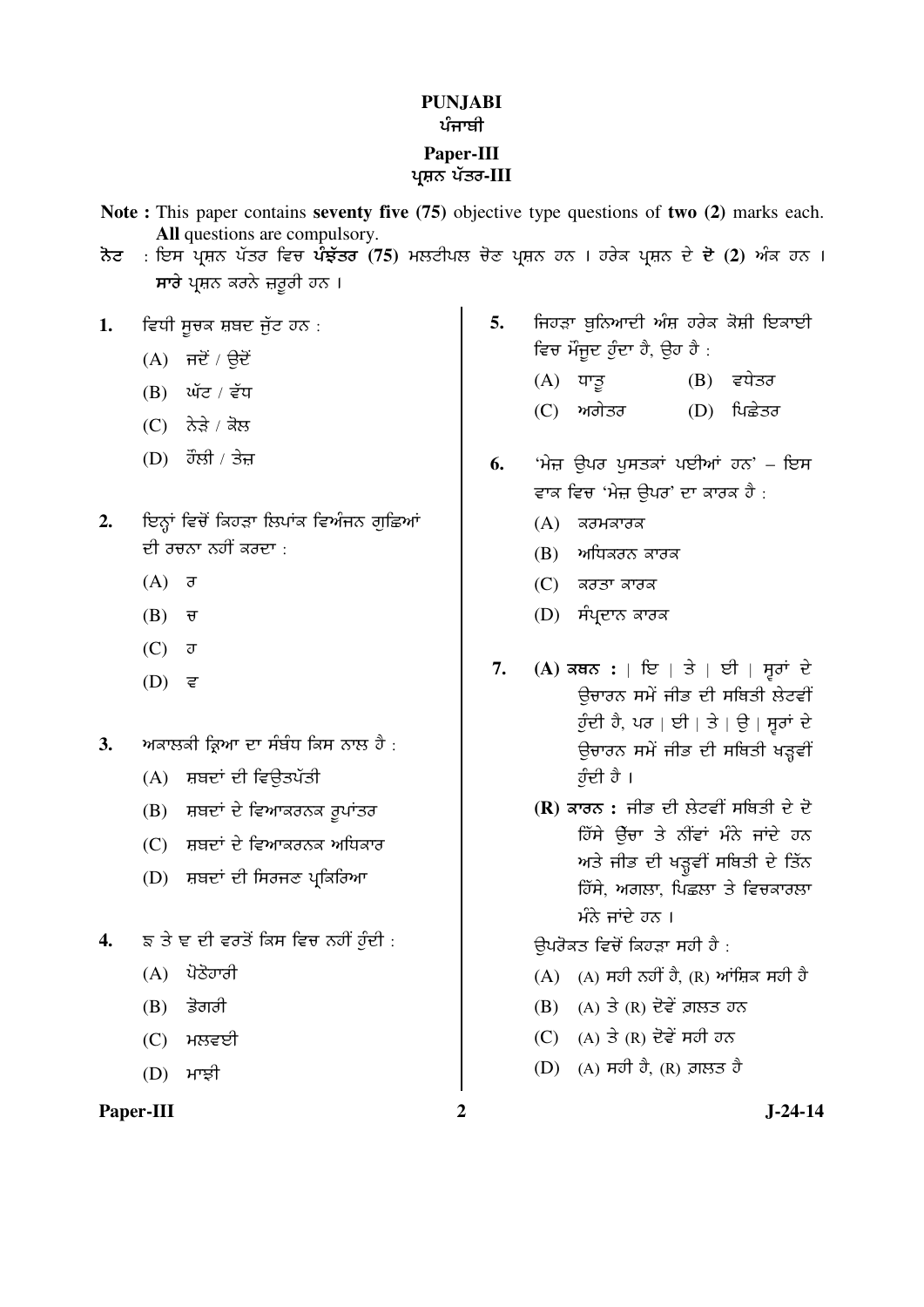#### **PUNJABI**  ਪੰਜਾਬੀ **Paper-III**  ਪਸ਼ਨ ਪੱਤਰ-III

- **Note :** This paper contains **seventy five (75)** objective type questions of **two (2)** marks each. **All** questions are compulsory.
- <u>ਨੋਟ : ਇਸ ਪ੍ਰਸ਼ਨ ਪੱਤਰ ਵਿਚ ਪੌਝੁੱਤਰ (75) ਮਲਟੀਪਲ ਚੋਣ ਪ੍ਰਸ਼ਨ ਹਨ । ਹਰੇਕ ਪ੍ਰਸ਼ਨ ਦੇ ਦੋ (2) ਅੰਕ ਹਨ ।</u> ਸਾਰੇ ਪਸ਼ਨ ਕਰਨੇ ਜ਼ਰੂਰੀ ਹਨ ।
- 1. ਵਿਧੀ ਸੂਚਕ ਸ਼ਬਦ ਜੁੱਟ ਹਨ :
	- $(A)$  ਜਦੋਂ / ਉਦੋਂ
	- (B) ਘੱਟ / ਵੱਧ
	- $(C)$  ਨੇੜੇ / ਕੋਲ
	- $(D)$  *ਹੌਲੀ / ਤੇਜ*
- 2. ਇਨ੍ਹਾਂ ਵਿਚੋਂ ਕਿਹੜਾ ਲਿਪਾਂਕ ਵਿਅੰਜਨ ਗਛਿਆਂ ਦੀ ਰਚਨਾ ਨਹੀਂ ਕਰਦਾ $\pm$ 
	- $(A)$   $\overline{\sigma}$
	- $(B)$   $\overline{\sigma}$
	- $(C)$   $\sigma$
	- $(D)$  ਵ
- 3. ਅਕਾਲਕੀ ਕਿਆ ਦਾ ਸੰਬੰਧ ਕਿਸ ਨਾਲ ਹੈ :
	- (A) ਸ਼ਬਦਾਂ ਦੀ ਵਿਉਤਪੱਤੀ
	- $(B)$  ਸ਼ਬਦਾਂ ਦੇ ਵਿਆਕਰਨਕ ਰੁਪਾਂਤਰ
	- $(C)$ ੁਸ਼ਬਦਾਂ ਦੇ ਵਿਆਕਰਨਕ ਅਧਿਕਾਰ
	- (D) ਸ਼ਬਦਾਂ ਦੀ ਸਿਰਜਣ ਪ੍ਰਕਿਰਿਆ
- 4. ਙ ਤੇ ਞ ਦੀ ਵਰਤੋਂ ਕਿਸ ਵਿਚ ਨਹੀਂ ਹੁੰਦੀ :
	- $(A)$  ਪੋਠੋਹਾਰੀ
	- $(B)$   $\frac{1}{6}$ ਗਰੀ
	- $(C)$  ਮਲਵਈ
	- $(D)$  ਮਾਝੀ

#### Paper-III 2 J-24-14

- 5. **ਜਿਹੜਾ ਬੁਨਿਆਦੀ ਅੰਸ਼ ਹਰੇਕ ਕੋਸ਼ੀ ਇਕਾਈ** ਵਿਚ ਮੌਜੂਦ ਹੁੰਦਾ ਹੈ, ਉਹ ਹੈ :
	- $(A)$  ਧਾਤੁ  $(B)$  ਵਧੇਤਰ (C) ਅਗੇਤਰ (D) ਪਿਛੇਤਰ
- **6.** 'ਮੇਜ਼ ਉਪਰ ਪਸਤਕਾਂ ਪਈਆਂ ਹਨ' ਇਸ ਵਾਕ ਵਿਚ 'ਮੇਜ਼ ਉਪਰ' ਦਾ ਕਾਰਕ ਹੈ :
	- $(A)$  ਕਰਮਕਾਰਕ
	- $(B)$  ਅਧਿਕਰਨ ਕਾਰਕ
	- $(C)$  ਕਰਤਾ ਕਾਰਕ
	- (D) ਸੰਪ੍ਰਦਾਨ ਕਾਰਕ
- 7. (A) ਕਥਨ : | ਇ | ਤੇ | ਈ | ਸੁਰਾਂ ਦੇ ਉਚਾਰਨ ਸਮੇਂ ਜੀਭ ਦੀ ਸਥਿਤੀ ਲੇਟਵੀਂ ੌਹੁੰਦੀ ਹੈ, ਪਰ | ਈ | ਤੇ | ਉ | ਸੁਰਾਂ ਦੇ ਉਚਾਰਨ ਸਮੇਂ ਜੀਭ ਦੀ ਸਥਿਤੀ ਖੜ੍ਹਵੀਂ ਹੁੰਦੀ ਹੈ।
	- **(R)** ਕਾਰਨ : ਜੀਭ ਦੀ ਲੇਟਵੀਂ ਸਥਿਤੀ ਦੇ ਦੋ ਹਿੱਸੇ ਉੱਚਾ ਤੇ ਨੀਂਵਾਂ ਮੰਨੇ ਜਾਂਦੇ *ਹ*ਨ ਅਤੇ ਜੀਭ ਦੀ ਖੜ੍ਹਵੀਂ ਸਥਿਤੀ ਦੇ ਤਿੱਨ ਹਿੱਸੇ, ਅਗਲਾ, ਪਿਛਲਾ ਤੇ ਵਿਚਕਾਰਲਾ  $\hat{H} \hat{\sigma}$  ਜਾਂਦੇ ਹਨ ।

ਉਪਰੋਕਤ ਵਿਚੋਂ ਕਿਹੜਾ ਸਹੀ ਹੈ :

- $(A)$  (A) ਸਹੀ ਨਹੀਂ ਹੈ, (R) ਆਂਜ਼ਿਕ ਸਹੀ ਹੈ
- $(B)$   $(A)$  ਤੇ  $(R)$  ਦੋਵੇਂ ਗ਼ਲਤ ਹਨ
- $(C)$  (A) ਤੇ (R) ਦੋਵੇਂ ਸਹੀ ਹਨ
- $(D)$   $(A)$  ਸਹੀ ਹੈ,  $(R)$  ਗ਼ਲਤ ਹੈ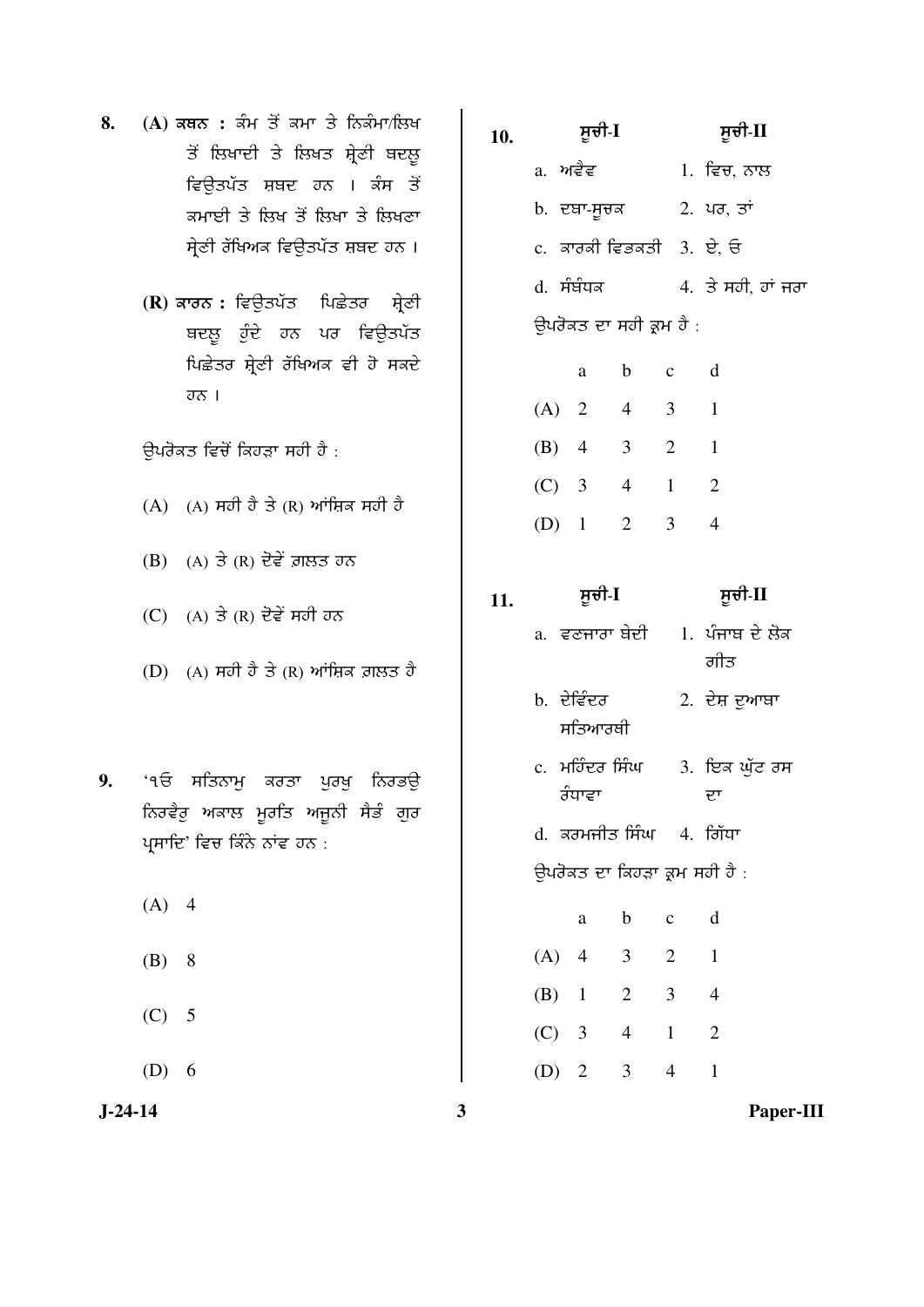- 8. (A) ਕਥਨ : ਕੰਮ ਤੋਂ ਕਮਾ ਤੇ ਨਿਕੰਮਾ/ਲਿਖ ਤੋਂ ਲਿਖਾਦੀ ਤੇ ਲਿਖਤ ਸ਼੍ਰੇਣੀ ਬਦਲੂ ਵਿੳਤਪੱਤ ਸ਼ਬਦ ਹਨ । ਕ<mark>ੰਸ</mark> ਤੋਂ <u>ਕਮਾਈ ਤੇ ਲਿਖ ਤੋਂ ਲਿਖਾ ਤੇ ਲਿਖ</u>ਣਾ ਸ੍ਰੇਣੀ ਰੱਖਿਅਕ ਵਿਊਤਪੱਤ ਸ਼ਬਦ ਹਨ ।
	- **(R)** ਕਾਰਨ : ਵਿਉਤਪੱਤ ਪਿਛੇਤਰ ਸ਼੍ਰੇਣੀ ਬਦਲੂ ਹੁੰਦੇ ਹਨ ਪਰ ਵਿਉਤਪੱਤ ਪਿਛੇਤਰ ਸ਼ੇਣੀ ਰੱਖਿਅਕ ਵੀ ਹੋ ਸਕਦੇ  $\overline{\sigma\sigma}$  |

ਉਪਰੋਕਤ ਵਿਚੋਂ ਕਿਹੜਾ ਸਹੀ ਹੈ :

- $(A)$  (A) ਸਹੀ ਹੈ ਤੇ (R) ਆਂਸ਼ਿਕ ਸਹੀ ਹੈ
- $(B)$   $(A)$  ਤੇ  $(R)$  ਦੋਵੇਂ ਗ਼ਲਤ ਹਨ
- $(C)$  (A) ਤੇ (R) ਦੋਵੇਂ ਸਹੀ ਹਨ
- (D)  $(A)$  ਸਹੀ ਹੈ ਤੇ  $(R)$  ਆਂਸ਼ਿਕ ਗ਼ਲਤ ਹੈ
- 9. <u>'</u>੧ਓ ਸਤਿਨਾਮੁ ਕਰਤਾ ਪੁਰਖ਼ ਨਿਰਭਉ ਨਿਰਵੈਰੂ ਅਕਾਲ ਮੁਰਤਿ ਅਜੁਨੀ ਸੈਡੰ ਗੁਰ ਪ੍ਰਸਾਦਿ' ਵਿਚ ਕਿੰਨੇ ਨਾਂਵ ਹਨ :
	- $(A) 4$
	- $(B) 8$
	- $(C)$  5
	- $(D) 6$

- **10.** ÓÞ°Û-**I** ÓÞ°Û-**II**  a. ਅਵੈਵ 1. ਵਿਚ. ਨਾਲ b. ਦਥਾ-ਸੂਚਕ 2. ਪਰ, ਤਾਂ  $c.$  ਕਾਰਕੀ ਵਿਭਕਤੀ  $3.$  ਏ. ਓ  $d.$  ਸੰਬੰਧਕ  $d.$  ਤੇ ਸਹੀ, ਹਾਂ ਜਰਾ ਉਪਰੋਕਤ ਦਾ ਸਹੀ ਕ੍ਰਮ ਹੈ : a b c d  $(A)$  2 4 3 1 (B) 4 3 2 1 (C) 3 4 1 2 (D) 1 2 3 4 **11.** ÓÞ°Û-**I** ÓÞ°Û-**II**  a. ਵਣਜਾਰਾ ਬੇਦੀ 1. ਪੰਜਾਬ ਦੇ ਲੋਕ ਗੀਤ b. ਦੇਵਿੰਦਰ ਸਤਿਆਰਥੀ 2. ਦੇਸ਼ ਦੁਆਬਾ c. ਮਹਿੰਦਰ ਸਿੰਘ ਰੰਧਾਵਾ 3. ਇਕ ਘੁੱਟ ਰਸ ÂØ d. ਕਰਮਜੀਤ ਸਿੰਘ 4. ਗਿੱਧਾ ਉਪਰੋਕਤ ਦਾ ਕਿਹੜਾ ਕ੍ਰਮ ਸਹੀ ਹੈ :
- a b c d (A) 4 3 2 1 (B) 1 2 3 4 (C) 3 4 1 2 (D) 2 3 4 1

**J-24-14 3 Paper-III**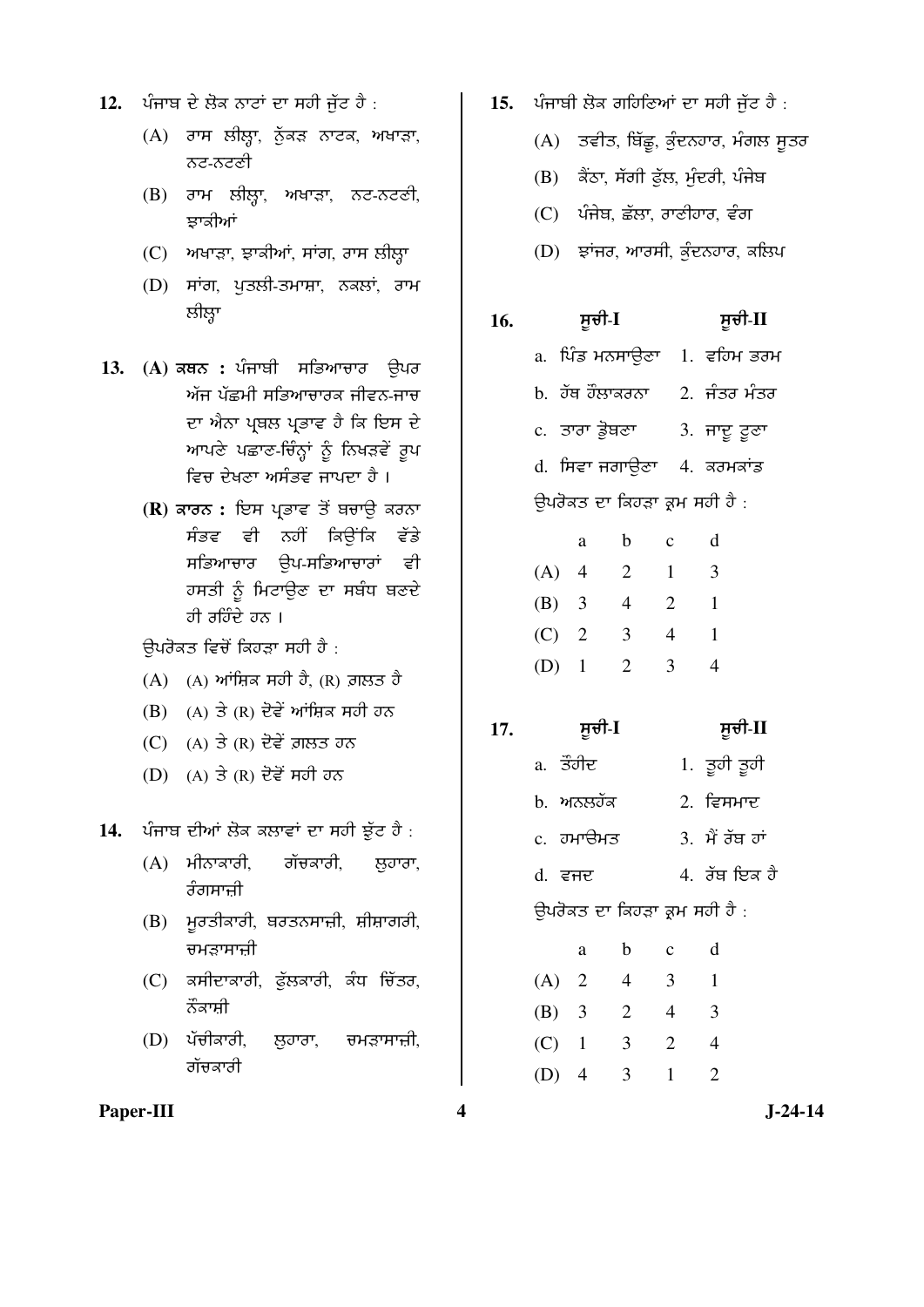- 12. ਪੰਜਾਬ ਦੇ ਲੋਕ ਨਾਟਾਂ ਦਾ ਸਹੀ ਜੱਟ ਹੈ :
	- $(A)$  ਰਾਸ ਲੀਲ੍ਹਾ, ਨੁੱਕੜ ਨਾਟਕ, ਅਖਾੜਾ, ਨਟ-ਨਟਣੀ
	- (B) ਰਾਮ ਲੀਲ੍ਹਾ, ਅਖਾੜਾ, ਨਟ-ਨਟਣੀ, ਝਾਕੀਆਂ
	- $(C)$  ਅਖਾੜਾ, ਝਾਕੀਆਂ, ਸਾਂਗ, ਰਾਸ ਲੀਲ੍ਹਾ
	- (D) ਸਾਂਗ, ਪੁਤਲੀ-ਤਮਾਸ਼ਾ, ਨਕਲਾਂ, ਰਾਮ ਲੀਲ੍ਹਾ
- 13. (A) ਕਥਨ : ਪੰਜਾਬੀ ਸਭਿਆਚਾਰ ਉਪਰ ਅੱਜ ਪੱਛਮੀ ਸਭਿਆਚਾਰਕ ਜੀਵਨ-ਜਾਚ ਦਾ ਐਨਾ ਪਬਲ ਪਭਾਵ ਹੈ ਕਿ ਇਸ ਦੇ ਆਪਣੇ ਪਛਾਣ-ਚਿੰਨ੍ਹਾਂ ਨੂੰ ਨਿਖੜਵੇਂ ਰੂਪ ਵਿਚ ਦੇਖਣਾ ਅਸੰਭਵ ਜਾਪਦਾ ਹੈ ।
	- **(R)** ਕਾਰਨ : ਇਸ ਪ੍ਰਭਾਵ ਤੋਂ ਬਚਾਉ ਕਰਨਾ ਸੰਭਵ ਵੀ ਨਹੀਂ ਕਿਉਂਕਿ ਵੱਡੇ ਸਭਿਆਚਾਰ ੳਪ-ਸਭਿਆਚਾਰਾਂ ਵੀ ਹਸਤੀ ਨੂੰ ਮਿਟਾਉਣ ਦਾ ਸਬੰਧ ਬਣਦੇ ਹੀ ਰਹਿੰਦੇ ਹਨ ।

ਉਪਰੋਕਤ ਵਿਚੋਂ ਕਿਹੜਾ ਸਹੀ ਹੈ :

- (A) (A) ¤ÙÚÔ¨ ÓÕÛ Õç, (R) øÐ¼ Õç
- $(B)$  (A) ਤੇ (R) ਦੋਵੇਂ ਆਂਸ਼ਿਕ ਸਹੀ ਹਨ
- $(C)$  (A) ਤੇ (R) ਦੋਵੇਂ ਗ਼ਲਤ ਹਨ
- $(D)$   $(A)$  ਤੇ  $(R)$  ਦੋਵੇਂ ਸਹੀ ਹਨ

14. ਪੰਜਾਬ ਦੀਆਂ ਲੋਕ ਕਲਾਵਾਂ ਦਾ ਸਹੀ ਝੁੱਟ ਹੈ :

- $(A)$  ਮੀਨਾਕਾਰੀ, ਗੱਚਕਾਰੀ, ਲਹਾਰਾ, ਰੰਗਸਾਜ਼ੀ
- (B) ਮੁਰਤੀਕਾਰੀ, ਬਰਤਨਸਾਜ਼ੀ, ਸ਼ੀਸ਼ਾਗਰੀ, ਚਮੜਾਸਾਜ਼ੀ
- (C) ਕਸੀਦਾਕਾਰੀ, ਫੁੱਲਕਾਰੀ, ਕੰਧ ਚਿੱਤਰ, ਨੌਕਾਸ਼ੀ
- (D) ਪੱਚੀਕਾਰੀ, ਲੁਹਾਰਾ, ਚਮੜਾਸਾਜ਼ੀ, ਗੱਚਕਾਰੀ
- 15. ਪੰਜਾਬੀ ਲੋਕ ਗਹਿਣਿਆਂ ਦਾ ਸਹੀ ਜੱਟ ਹੈ :
	- $(A)$ ਂ ਤਵੀਤ, ਬਿੱਛੂ, ਕੁੰਦਨਹਾਰ, ਮੰਗਲ ਸੂਤਰ
	- (B) ਕੈਂਠਾ, ਸੱਗੀ ਫੁੱਲ, ਮੁੰਦਰੀ, ਪੰਜੇਬ
	- $(C)$  ਪੰਜੇਬ ਛੱਲਾ ਰਾਣੀਹਾਰ ਵੰਗ
	- $(D)$   $\vec{z}$ ਾਂਜਰ, ਆਰਸੀ, ਕੁੰਦਨਹਾਰ, ਕਲਿਪ
- **16.** ÓÞ°Û-**I** ÓÞ°Û-**II**
- a. ਪਿੰਡ ਮਨਸਾਉਣਾ 1. ਵਹਿਮ ਭਰਮ  $b.$  ਹੱਥ ਹੌਲਾਕਰਨਾ  $2.$  ਜੰਤਰ ਮੰਤਰ c. ਤਾਰਾ ਡੋਥਣਾ 3. ਜਾਦੁ ਟੁਣਾ d. ਸਿਵਾ ਜਗਾੳਣਾ 4. ਕਰਮਕਾਂਡ ਉਪਰੋਕਤ ਦਾ ਕਿਹੜਾ ਕ੍ਰਮ ਸਹੀ ਹੈ : a b c d

|         | u              | ., | ັ | u |
|---------|----------------|----|---|---|
| (A)     | $\overline{4}$ | 2  |   | 3 |
| $(B)$ 3 |                | 4  | 2 |   |
| $(C)$ 2 |                | 3  | 4 |   |
| $(D)$ 1 |                | 2  | 3 |   |

- **17.** ÓÞ°Û-**I** ÓÞ°Û-**II**
- a. ਤੌਹੀਦ 1. ਤੁਹੀ ਤੁਹੀ  $b.$  ਅਨੁਲਹੱਕ  $2.$  ਵਿਸਮਾਦ  $c.$  ਹਮਾੳਮਤ  $3.$  ਮੈਂ ਰੱਬ ਹਾਂ  $d.$  ਵਜਦ 2. ਰੱਬ ਇਕ ਹੈ ਉਪਰੋਕਤ ਦਾ ਕਿਹੜਾ ਕ੍ਰਮ ਸਹੀ ਹੈ : a b c d (A) 2 4 3 1 (B) 3 2 4 3
	- (C) 1 3 2 4 (D) 4 3 1 2

Paper-III 3-24-14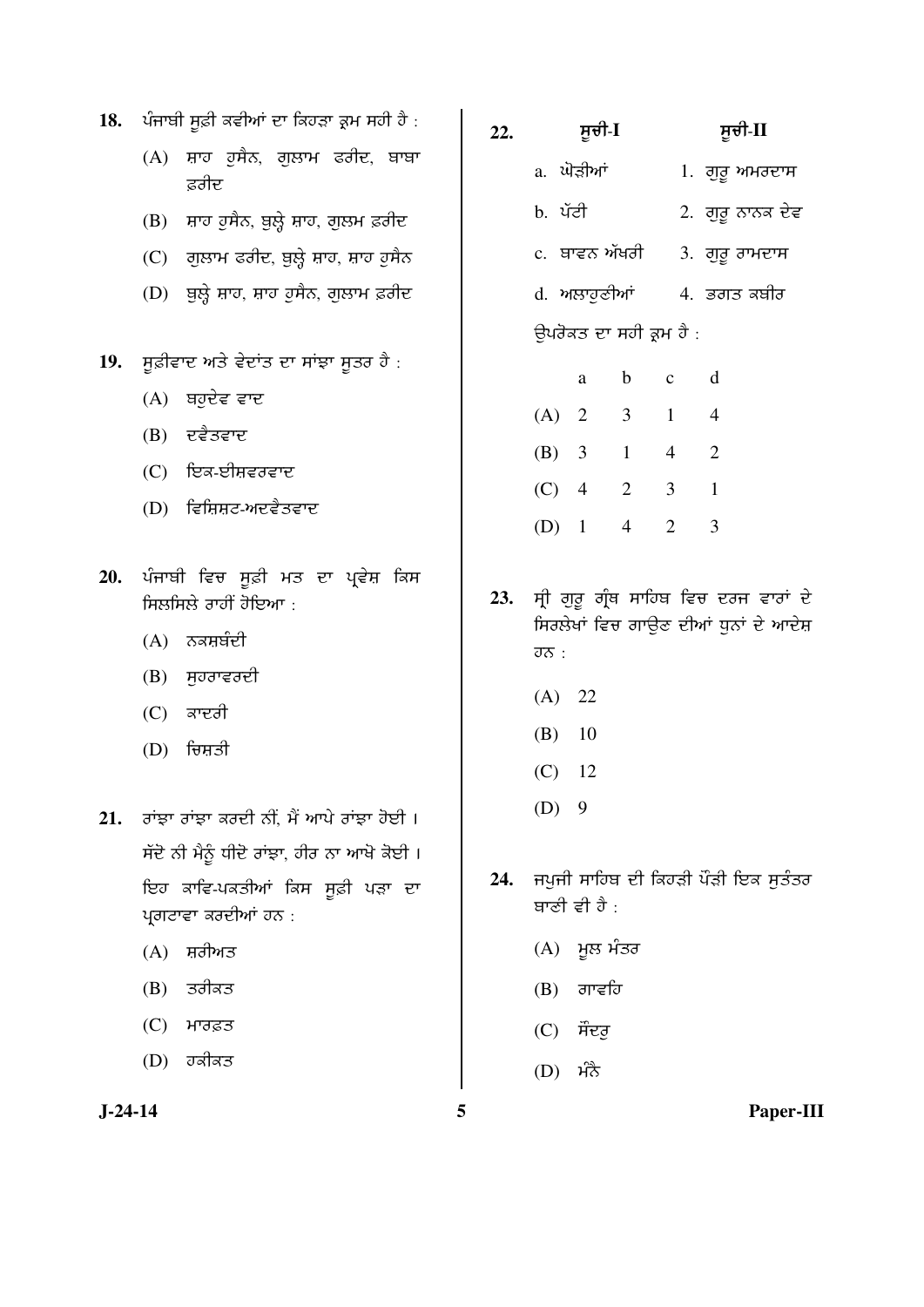| 18.       |     | ਪੰਜਾਬੀ ਸੂਫ਼ੀ ਕਵੀਆਂ ਦਾ ਕਿਹੜਾ ਕ੍ਰਮ ਸਹੀ ਹੈ :                                                             | 22. |                       | ਸੂਚੀ-I       |                         |                | ਸੂਚੀ-II                                                                         |
|-----------|-----|-------------------------------------------------------------------------------------------------------|-----|-----------------------|--------------|-------------------------|----------------|---------------------------------------------------------------------------------|
|           |     | (A) ਸ਼ਾਹ ਹੁਸੈਨ, ਗੁਲਾਮ ਫਰੀਦ, ਬਾਬਾ<br>ਫ਼ਰੀਦ                                                             |     |                       | a. ਘੋੜੀਆਂ    |                         |                | 1. ਗੁਰੂ ਅਮਰਦਾਸ                                                                  |
|           |     | (B) ਸ਼ਾਹ ਹੁਸੈਨ, ਬੁਲ੍ਹੇ ਸ਼ਾਹ, ਗੁਲਮ ਫ਼ਰੀਦ                                                               |     |                       | b. ਪੱਟੀ      |                         |                | 2. ਗੁਰੂ ਨਾਨਕ ਦੇਵ                                                                |
|           |     | (C) ਗੁਲਾਮ ਫਰੀਦ, ਬੁਲ੍ਹੇ ਸ਼ਾਹ, ਸ਼ਾਹ ਹੁਸੈਨ                                                               |     |                       |              | c.  ਬਾਵਨ ਅੱਖਰੀ          |                | 3. ਗੁਰੂ ਰਾਮਦਾਸ                                                                  |
|           |     | (D) ਬੁਲ੍ਹੇ ਸ਼ਾਹ, ਸ਼ਾਹ ਹੁਸੈਨ, ਗੁਲਾਮ ਫ਼ਰੀਦ                                                              |     |                       |              | d. ਅਲਾਹੁਣੀਆਂ            |                | 4. ਭਗਤ ਕਬੀਰ                                                                     |
|           |     |                                                                                                       |     |                       |              | ਉਪਰੋਕਤ ਦਾ ਸਹੀ ਕ੍ਰਮ ਹੈ : |                |                                                                                 |
| 19.       |     | ਸੂਫ਼ੀਵਾਦ ਅਤੇ ਵੇਦਾਂਤ ਦਾ ਸਾਂਝਾ ਸੂਤਰ ਹੈ :                                                                |     |                       | a            | $\mathbf b$             | $\mathbf c$    | $\mathbf d$                                                                     |
|           |     | $(A)$ ਬਹੁਦੇਵ ਵਾਦ                                                                                      |     |                       | $(A)$ 2      | 3 <sup>7</sup>          | $\mathbf{1}$   | $\overline{4}$                                                                  |
|           |     | $(B)$ ਦਵੈਤਵਾਦ                                                                                         |     |                       | (B) 3        | $\mathbf{1}$            | $\overline{4}$ | $\overline{2}$                                                                  |
|           |     | $(C)$ ਇਕ-ਈਸ਼ਵਰਵਾਦ                                                                                     |     |                       |              |                         |                |                                                                                 |
|           |     | $(D)$ ਵਿਸ਼ਿਸ਼ਟ-ਅਦਵੈਤਵਾਦ                                                                               |     |                       | $(C)$ 4      | $\overline{2}$          | 3              | $\mathbf{1}$                                                                    |
|           |     |                                                                                                       |     |                       | $(D)$ 1      | $4\overline{ }$         | $\overline{2}$ | 3                                                                               |
| 20.       |     | ਪੰਜਾਬੀ ਵਿਚ ਸੂਫ਼ੀ ਮਤ ਦਾ ਪ੍ਰਵੇਸ਼ ਕਿਸ<br>ਸਿਲਸਿਲੇ ਰਾਹੀਂ ਹੋਇਆ:<br>$(A)$ ਨਕਸ਼ਬੰਦੀ<br>$(B)$ ਸੁਹਰਾਵਰਦੀ        | 23. | $\overline{\sigma}$ : |              |                         |                | ਸ੍ਰੀ ਗੁਰੂ ਗ੍ਰੰਥ ਸਾਹਿਬ ਵਿਚ ਦਰਜ ਵਾਰਾਂ ਦੇ<br>ਸਿਰਲੇਖਾਂ ਵਿਚ ਗਾਉਣ ਦੀਆਂ ਧੁਨਾਂ ਦੇ ਆਦੇਸ਼ |
|           | (C) | ਕਾਦਰੀ                                                                                                 |     |                       | (A) 22       |                         |                |                                                                                 |
|           | (D) | ਚਿਸ਼ਤੀ                                                                                                |     | (B)                   | 10           |                         |                |                                                                                 |
|           |     |                                                                                                       |     | (C)                   | -12          |                         |                |                                                                                 |
| 21.       |     | ਰਾਂਝਾ ਰਾਂਝਾ ਕਰਦੀ ਨੀਂ, ਮੈਂ ਆਪੇ ਰਾਂਝਾ ਹੋਈ ।                                                             |     | $(D)$ 9               |              |                         |                |                                                                                 |
|           |     | ਸੱਦੋ ਨੀ ਮੈਨੂੰ ਧੀਦੋ ਰਾਂਝਾ, ਹੀਰ ਨਾ ਆਖੋ ਕੋਈ ।<br>ਇਹ ਕਾਵਿ-ਪਕਤੀਆਂ ਕਿਸ ਸੂਫ਼ੀ ਪੜਾ ਦਾ<br>ਪ੍ਰਗਟਾਵਾ ਕਰਦੀਆਂ ਹਨ : | 24. |                       | ਬਾਣੀ ਵੀ ਹੈ : |                         |                | ਜਪੁਜੀ ਸਾਹਿਬ ਦੀ ਕਿਹੜੀ ਪੌੜੀ ਇਕ ਸੁਤੰਤਰ                                             |
|           | (A) | ਸ਼ਰੀਅਤ                                                                                                |     |                       | (A) ਮੂਲ ਮੰਤਰ |                         |                |                                                                                 |
|           | (B) | ਤਰੀਕਤ                                                                                                 |     | (B)                   | ਗਾਵਹਿ        |                         |                |                                                                                 |
|           | (C) | ਮਾਰਫ਼ਤ                                                                                                |     | (C)                   | ਸੌਦਰੁ        |                         |                |                                                                                 |
|           | (D) | ਹਕੀਕਤ                                                                                                 |     | (D)                   | ਮੰਨੈ         |                         |                |                                                                                 |
| $J-24-14$ |     |                                                                                                       | 5   |                       |              |                         |                | Paper-II                                                                        |

Paper-III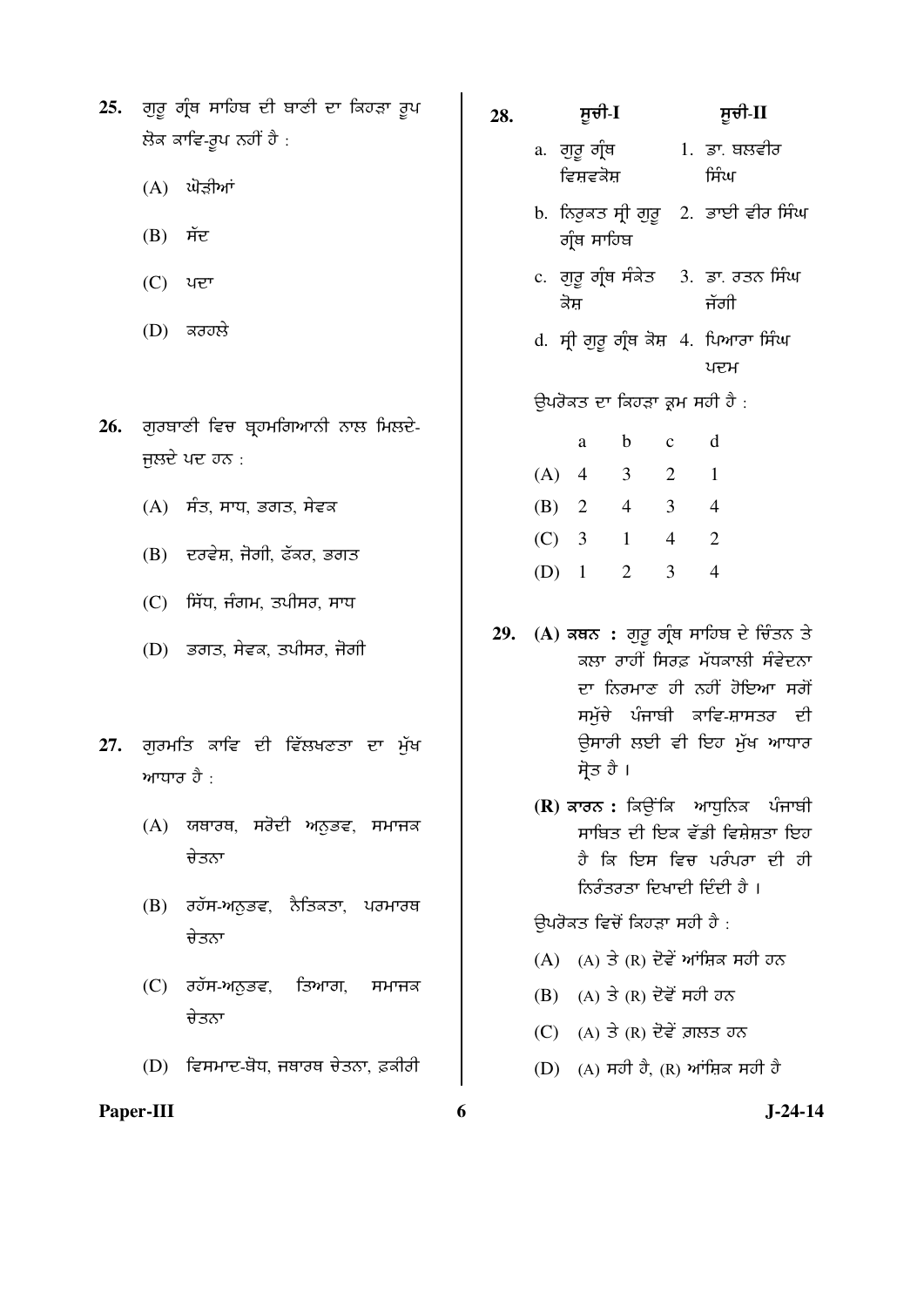| 25.  ਗੁਰੂ ਗ੍ਰੰਥ ਸਾਹਿਬ ਦੀ ਬਾਣੀ ਦਾ ਕਿਹੜਾ ਰੂਪ |
|--------------------------------------------|
| ਲੋਕ ਕਾਵਿ-ਰੂਪ ਨਹੀਂ ਹੈ :                     |

- $(A)$  ਘੋੜੀਆਂ
- $(B)$  ਸੱਦ
- (C) ਪਦਾ
- $(D)$  ਕਰਹਲੇ
- 26. ਗੁਰਬਾਣੀ ਵਿਚ ਬ੍ਰਹਮਗਿਆਨੀ ਨਾਲ ਮਿਲਦੇ-ਜਲਦੇ ਪਦ ਹਨ $\cdot$ 
	- $(A)$ ਸੰਤ, ਸਾਧ, ਭਗਤ, ਸੇਵਕ
	- $(B)$  ਦਰਵੇਸ਼, ਜੋਗੀ, ਫੱਕਰ, ਭਗਤ
	- $(C)$  ਸਿੱਧ, ਜੰਗਮ, ਤਪੀਸਰ, ਸਾਧ
	- $(D)$  ਡਗਤ, ਸੇਵਕ, ਤਪੀਸਰ, ਜੋਗੀ
- 27. ਗੁਰਮਤਿ ਕਾਵਿ ਦੀ ਵਿੱਲਖਣਤਾ ਦਾ ਮੁੱਖ ਆਧਾਰ ਹੈ $\cdot$ 
	- (A) ਯਥਾਰਥ, ਸਰੋਦੀ ਅਨੁਭਵ, ਸਮਾਜਕ ਚੇਤਨਾ
	- (B) ਰਹੱਸ-ਅਨੁਭਵ, ਨੈਤਿਕਤਾ, ਪਰਮਾਰਥ ਚੇਤਨਾ
	- $(C)$  ਰਹੱਸ-ਅਨਭਵ, ਤਿਆਗ, ਸਮਾਜਕ ਚੇਤਨਾ
	- (D) ਵਿਸਮਾਦ-ਬੋਧ, ਜਥਾਰਥ ਚੇਤਨਾ, ਫ਼ਕੀਰੀ

## **28.** ÓÞ°Û-**I** ÓÞ°Û-**II**  a. वाट वी़व ਵਿਸ਼ਵਕੋਸ਼ 1. ਡਾ. ਬਲਵੀਰ ਸਿੰਘ b. ਨਿਰੁਕਤ ਸੀ ਗੁਰੂ ਗੰਥ ਸਾਹਿਬ 2. ਭਾਈ ਵੀਰ ਸਿੰਘ c. ਗੁਰੂ ਗ੍ਰੰਥ ਸੰਕੇਤ ਕੋਸ 3. ਡਾ. ਰਤਨ ਸਿੰਘ ਜੱਗੀ d. ਸ੍ਰੀ ਗੁਰੂ ਗ੍ਰੰਥ ਕੋਸ਼ 4. ਪਿਆਰਾ ਸਿੰਘ ਪਦਮ ਉਪਰੋਕਤ ਦਾ ਕਿਹੜਾ ਕਮ ਸਹੀ ਹੈ : a b c d (A) 4 3 2 1 (B) 2 4 3 4 (C) 3 1 4 2 (D) 1 2 3 4 29. (A) ਕਥਨ : ਗੁਰੁ ਗ੍ਰੰਥ ਸਾਹਿਬ ਦੇ ਚਿੰਤਨ ਤੇ

- ਕਲਾ ਰਾਹੀਂ ਸਿਰਫ ਮੱਧਕਾਲੀ ਸੰਵੇਦਨਾ ਦਾ ਨਿਰਮਾਣ ਹੀ ਨਹੀਂ ਹੋਇਆ ਸਗੋਂ ਸਮੁੱਚੇ ਪੰਜਾਬੀ ਕਾਵਿ-ਸ਼ਾਸਤਰ ਦੀ ਉਸਾਰੀ ਲਈ ਵੀ ਇਹ ਮੁੱਖ ਆਧਾਰ ਸੋਤ ਹੈ ।
	- **(R)** ਕਾਰਨ : ਕਿਉਂਕਿ ਆਧਨਿਕ ਪੰਜਾਬੀ ਸਾਬਿਤ ਦੀ ਇਕ ਵੱਡੀ ਵਿਸੇਸਤਾ ਇਹ ਹੈ ਕਿ ਇਸ ਵਿਚ ਪਰੰਪਰਾ ਦੀ ਹੀ ਨਿਰੰਤਰਤਾ ਦਿਖਾਦੀ ਦਿੰਦੀ ਹੈ ।

#### ਉਪਰੋਕਤ ਵਿਚੋਂ ਕਿਹੜਾ ਸਹੀ ਹੈ :

- $(A)$   $(A)$   $\exists$   $(R)$  ਦੋਵੇਂ ਆਂਸ਼ਿਕ ਸਹੀ ਹਨ
- $(B)$   $(A)$  ਤੇ  $(R)$  ਦੋਵੇਂ ਸਹੀ ਹਨ
- $(C)$   $(A)$  ਤੇ  $(R)$  ਦੋਵੇਂ ਗ਼ਲਤ ਹਨ
- $(D)$  (A) ਸਹੀ ਹੈ, (R) ਆਂਸ਼ਿਕ ਸਹੀ ਹੈ

Paper-III 6 **J**-24-14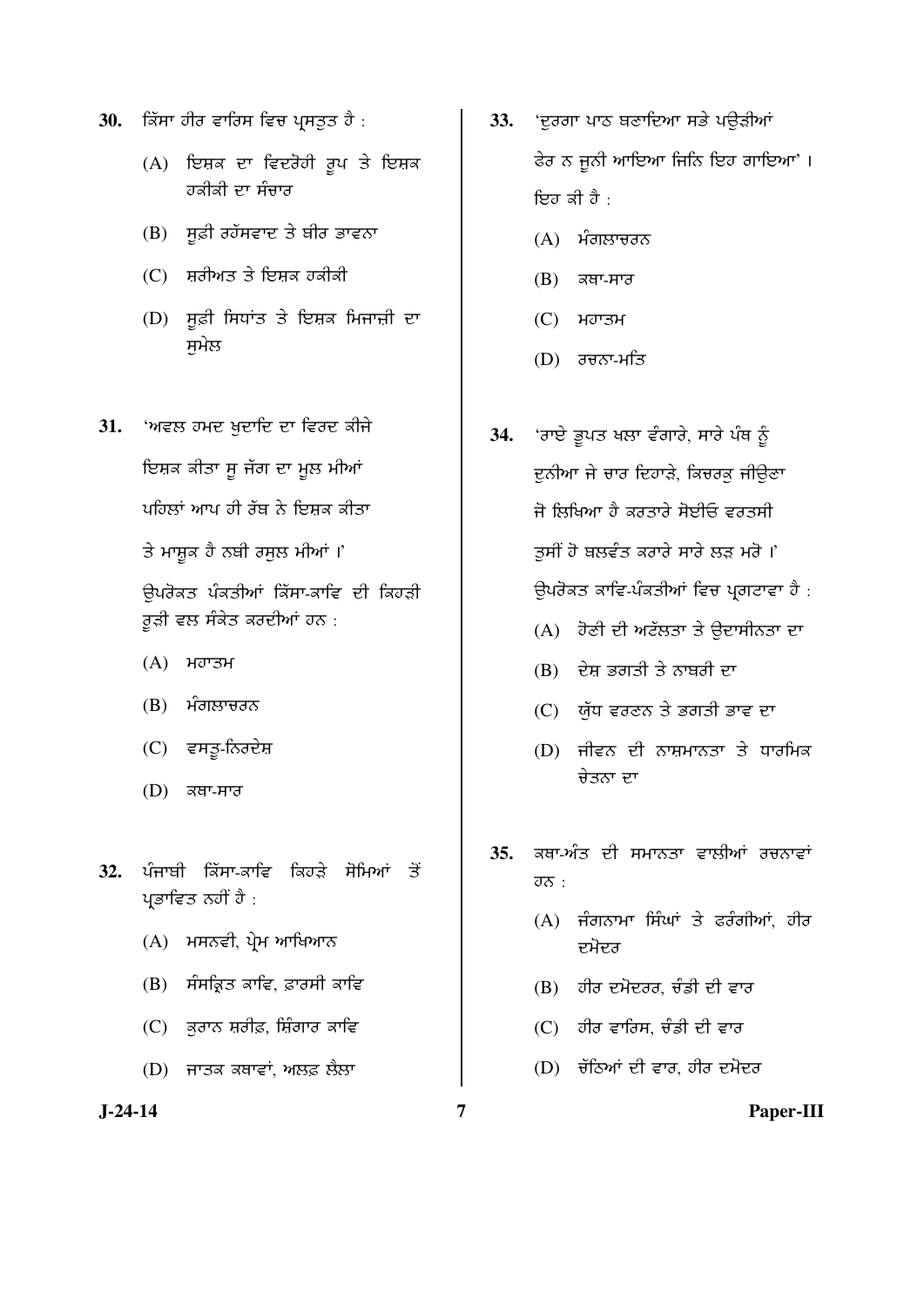- 30. **ਕਿੱਸਾ ਹੀਰ ਵਾਰਿਸ ਵਿਚ ਪ੍ਰਸਤੁਤ ਹੈ** :
	- $(A)$  ਇਸ਼ਕ ਦਾ ਵਿਦਰੋਹੀ ਰੂਪ ਤੇ ਇਸ਼ਕ ਹਕੀਕੀ ਦਾ ਸੰਚਾ**ਰ**
	- $(B)$  ਸੂਫ਼ੀ ਰਹੱਸਵਾਦ ਤੇ ਬੀਰ ਭਾਵਨਾ
	- $(C)$  ਸ਼ਰੀਅਤ ਤੇ ਇਸ਼ਕ ਹਕੀਕੀ
	- $(D)$  ਸੁਫ਼ੀ ਸਿਧਾਂਤ ਤੇ ਇਸ਼ਕ ਮਿਜਾਜ਼ੀ ਦਾ ਸਮੇਲ
- 31. 'ਅਵਲ ਹਮਦ ਖੁਦਾਦਿ ਦਾ ਵਿਰਦ ਕੀਜੇ ਇਸ਼ਕ ਕੀਤਾ ਸੁ ਜੱਗ ਦਾ ਮੁਲ ਮੀਆਂ

ਪਹਿਲਾਂ ਆਪ ਹੀ ਰੱਬ ਨੇ ਇਸ਼ਕ ਕੀਤਾ

ਤੇ ਮਾਸ਼ਕ ਹੈ ਨਬੀ ਰਸਲ ਮੀਆਂ ।'

ਉਪਰੋਕਤ ਪੰਕਤੀਆਂ ਕਿੱਸਾ-ਕਾਵਿ ਦੀ ਕਿਹੜੀ ਰੁੜੀ ਵਲ ਸੰਕੇਤ ਕਰਦੀਆਂ ਹਨ :

- $(A)$  ਮਹਾਤਮ
- $(B)$  ਮੰਗਲਾਚਰਨ
- (C) ਵਸਤੂ-ਨਿਰਦੇਸ਼
- $(D)$  ਕਥਾ-ਸਾਰ
- 32. ਪੰਜਾਬੀ ਕਿੱਸਾ-ਕਾਵਿ ਕਿਹਤੇ ਸੋਮਿਆਂ ਤੋਂ ਪ੍ਰਭਾਵਿਤ ਨਹੀਂ ਹੈ :
	- $(A)$  ਮਸਨਵੀ, ਪੇਮ ਆਖਿਆਨ
	- $(B)$  ਸੰਸਕ੍ਰਿਤ ਕਾਵਿ, ਫ਼ਾਰਸੀ ਕਾਵਿ
	- $(C)$  ਕਰਾਨ ਸ਼ਰੀਫ਼, ਸ਼ਿੰਗਾਰ ਕਾਵਿ
	- (D) ਜਾਤਕ ਕਥਾਵਾਂ, ਅਲਫ਼ ਲੈਲਾ

- 33. 'ਦੁਰਗਾ ਪਾਠ ਬਣਾਦਿਆ ਸਭੇ ਪਉੜੀਆਂ ਫੇਰ ਨ ਜੂਨੀ ਆਇਆ ਜਿਨਿ ਇਹ ਗਾਇਆ'। ਇਹ ਕੀ ਹੈ $\cdot$ 
	- $(A)$  ਮੰਗਲਾਚਰਨ
	- $(B)$  ਕਥਾ-ਸਾਰ
	- $(C)$  ਮਹਾਤਮ
	- (D) ਰਚਨਾ-ਮਤਿ
- 34. *'ਰਾਏ ਭੁਪਤ ਖਲਾ ਵੰਗਾਰੇ, ਸਾਰੇ ਪੰਥ ਨੂੰ* <u>ਦੁਨੀਆ ਜੇ ਚਾਰ ਦਿਹਾੜੇ, ਕਿਚਰਕ ਜੀਉਣਾ</u> <u>ਜੋ ਲਿਖਿਆ ਹੈ ਕਰਤਾਰੇ ਸੋਈਓ ਵਰਤਸੀ</u> ਤਸੀਂ ਹੋ ਬਲਵੰਤ ਕਰਾਰੇ ਸਾਰੇ ਲੜ ਮਰੋ ।' ਉਪਰੋਕਤ ਕਾਵਿ-ਪੰਕਤੀਆਂ ਵਿਚ ਪ੍ਰਗਟਾਵਾ ਹੈ :
	- (A) ਹੋਣੀ ਦੀ ਅਟੱਲਤਾ ਤੇ ਉਦਾਸੀਨਤਾ ਦਾ
	- $(B)$   $\vec{B}$   $\vec{B}$   $\vec{B}$   $\vec{B}$   $\vec{C}$   $\vec{B}$   $\vec{C}$
	- $(C)$  ਯੁੱਧ ਵਰਣਨ ਤੇ ਭਗਤੀ ਭਾਵ ਦਾ
	- $(D)$  ਜੀਵਨ ਦੀ ਨਾਸ਼ਮਾਨਤਾ ਤੇ ਧਾਰਮਿਕ ਚੇਤਨਾ ਦਾ
- 35. ਕਥਾ-ਅੰਤ ਦੀ ਸਮਾਨਤਾ ਵਾਲੀਆਂ ਰਚਨਾਵਾਂ  $\overline{\sigma}$  :
	- $(A)$  ਜੰਗਨਾਮਾ ਸਿੰਘਾਂ ਤੇ ਫਰੰਗੀਆਂ. ਹੀਰ ਦਮੋਦਰ
	- $(B)$  ਹੀਰ ਦਮੋਦਰਰ, ਚੰਡੀ ਦੀ ਵਾਰ
	- $(C)$  ਹੀਰ ਵਾਰਿਸ, ਚੰਡੀ ਦੀ ਵਾਰ
	- $(D)$ ਂ ਚੱਠਿਆਂ ਦੀ ਵਾਰ, ਹੀਰ ਦਮੋਦਰ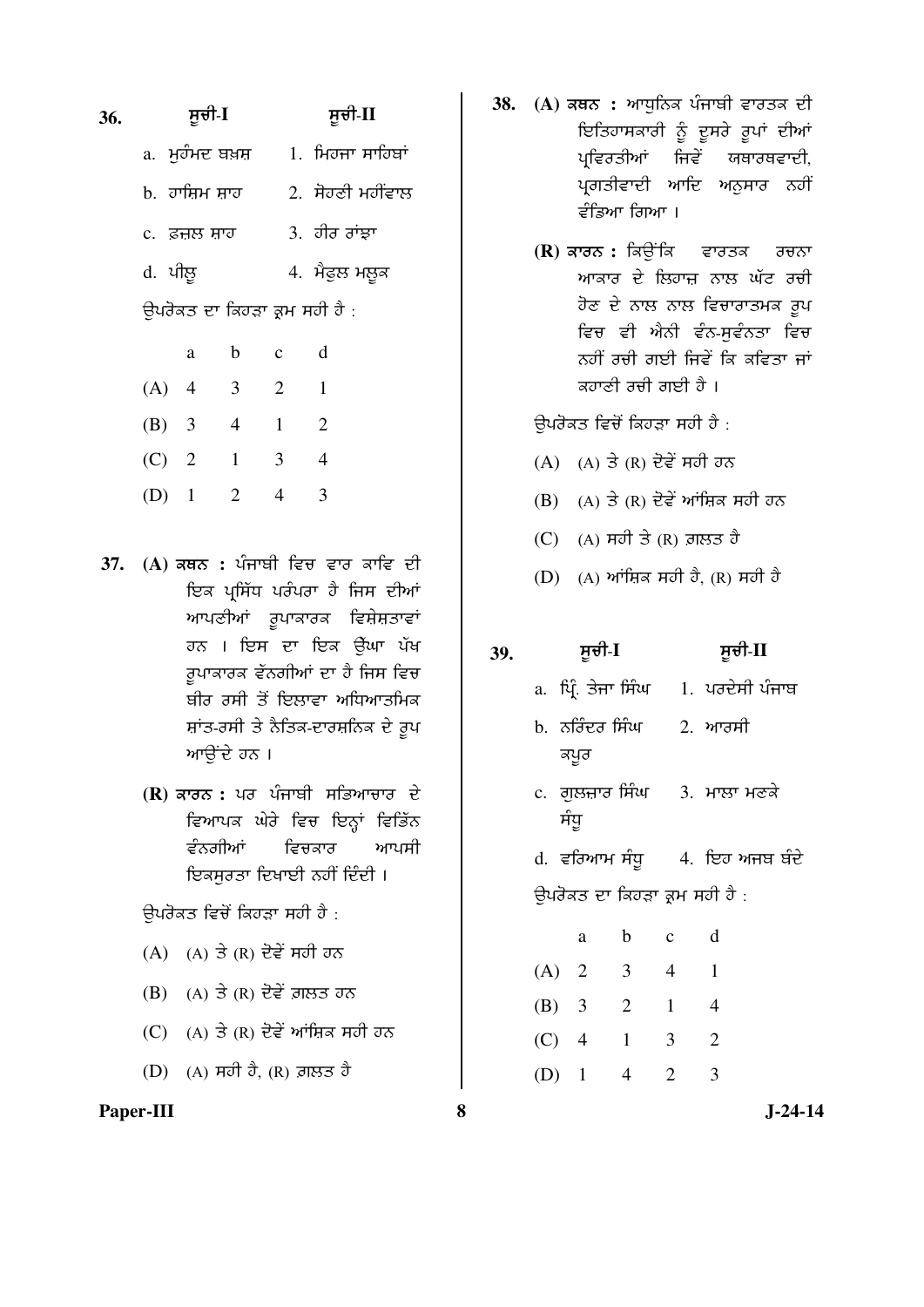# **36.** ÓÞ°Û-**I** ÓÞ°Û-**II**

- $a.$  ਮਹੰਮਦ ਬਖ਼ਸ਼ a. ਮਿਹਜਾ ਸਾਹਿਬਾਂ
- $b.$  ਹਾਸ਼ਿਮ ਸ਼ਾਹ  $2.$  ਸੋਹਣੀ ਮਹੀਂਵਾਲ
- c. È³Ð ÔØÕ 3. ÕÛÏ ÏÙ´Ø
- d. ÆÛÐÞ 4. ÌçÇÝÐ ÌÐÞ¨

ਉਪਰੋਕਤ ਦਾ ਕਿਹੜਾ ਕ੍ਰਮ ਸਹੀ ਹੈ :

|         | a                       | b | $\mathbf c$ | d              |
|---------|-------------------------|---|-------------|----------------|
| (A)     | $\overline{4}$          | 3 | 2           | 1              |
| (B)     | $\overline{\mathbf{3}}$ | 4 | 1           | $\overline{2}$ |
| $(C)$ 2 |                         | 1 | 3           | 4              |
| (D)     | $\mathbf{1}$            | 2 |             | 3              |

- 37. (A) ਕਥਨ : ਪੰਜਾਬੀ ਵਿਚ ਵਾਰ ਕਾਵਿ ਦੀ ਇਕ ਪਸਿੱਧ ਪਰੰਪਰਾ ਹੈ ਜਿਸ ਦੀਆਂ ਆਪਣੀਆਂ ਰੁਪਾਕਾਰਕ ਵਿਸ਼ੇਸ਼ਤਾਵਾਂ ਹਨ । ਇਸ ਦਾ ਇਕ ਉੱਘਾ ਪੱਖ ਰਪਾਕਾਰਕ ਵੱਨਗੀਆਂ ਦਾ ਹੈ ਜਿਸ ਵਿ<del>ਚ</del> ਬੀਰ ਰਸੀ ਤੋਂ ਇਲਾਵਾ ਅਧਿਆਤਮਿਕ ਸ਼ਾਂਤ-ਰਸੀ ਤੇ ਨੈਤਿਕ-ਦਾਰਸ਼ਨਿਕ ਦੇ ਰੂਪ ਆੳਂਦੇ ਹਨ।
	- **(R)** ਕਾਰਨ : ਪਰ ਪੰਜਾਬੀ ਸਭਿਆਚਾਰ ਦੇ ਵਿਆਪਕ ਘੇਰੇ ਵਿਚ ਇਨ੍ਹਾਂ ਵਿਭਿੱਨ *ਵੰਨ*ਗੀਆਂ ਵਿਚਕਾਰ ਆਪਸੀ ਇਕਸੁਰਤਾ ਦਿਖਾਈ ਨਹੀਂ ਦਿੰਦੀ ।

ਉਪਰੋਕਤ ਵਿਚੋਂ ਕਿਹੜਾ ਸਹੀ ਹੈ :

- $(A)$   $(A)$   $\exists$   $(R)$  ਦੋਵੇਂ ਸਹੀ ਹਨ
- $(B)$   $(A)$  ਤੇ  $(R)$  ਦੋਵੇਂ ਗ਼ਲਤ ਹਨ
- (C)  $(A)$  ਤੇ  $(R)$  ਦੋਵੇਂ ਆਂਸ਼ਿਕ ਸਹੀ ਹਨ
- (D)  $(A)$  ਸਹੀ ਹੈ,  $(R)$  ਗ਼ਲਤ ਹੈ

#### **Paper-III 8 J-24-14**

- 38. (A) ਕਥਨ : ਆਧਨਿਕ ਪੰਜਾਬੀ ਵਾਰਤਕ ਦੀ ਇਤਿਹਾਸਕਾਰੀ ਨੂੰ ਦੂਸਰੇ ਰੂਪਾਂ ਦੀਆਂ ਪ੍ਰਵਿਰਤੀਆਂ ਜਿਵੇਂ ਯਥਾਰਥਵਾਦੀ, ਪ੍ਰਗਤੀਵਾਦੀ ਆਦਿ ਅਨੁਸਾਰ ਨਹੀਂ ਵੰਡਿਆ ਗਿਆ ।
	- **(R)** ਕਾਰਨ : ਕਿਉਂਕਿ ਵਾਰਤਕ ਰਚਨਾ ਆਕਾਰ ਦੇ ਲਿਹਾਜ਼ ਨਾਲ ਘੱਟ ਰ<del>ਹ</del>ੀ ਹੋਣ ਦੇ ਨਾਲ ਨਾਲ ਵਿਚਾਰਾਤਮਕ ਰੂਪ ਵਿਚ ਵੀ ਐਨੀ ਵੰਨ-ਸੁਵੰਨਤਾ ਵਿਚ ਨਹੀਂ ਰਚੀ ਗਈ ਜਿਵੇਂ ਕਿ ਕਵਿਤਾ ਜਾਂ <u>ਕਹਾਣੀ ਰਚੀ ਗਈ ਹੈ ।</u>

ਉਪਰੋਕਤ ਵਿਚੋਂ ਕਿਹੜਾ ਸਹੀ ਹੈ :

- $(A)$   $(A)$   $\exists$   $(R)$   $\exists$  $\right\}$   $\Rightarrow$   $R$   $\Rightarrow$   $\Rightarrow$   $\Rightarrow$
- (B)  $(A)$  ਤੇ  $(R)$  ਦੋਵੇਂ ਆਂਜ਼ਿਕ ਸਹੀ ਹਨ
- $(C)$  (A) ਸਹੀ ਤੇ (R) ਗ਼ਲਤ ਹੈ
- $(D)$  (A) ਆਂਸ਼ਿਕ ਸਹੀ ਹੈ, (R) ਸਹੀ ਹੈ

## **39.** ÓÞ°Û-**I** ÓÞ°Û-**II**

- a. ਪ੍ਰਿੰ. ਤੇਜਾ ਸਿੰਘ 1. ਪਰਦੇਸੀ ਪੰਜਾਬ
- b. ਨਰਿੰਦਰ ਸਿੰਘ ਕਪੁਰ  $2.$  ਆਰਸੀ
- c. ਗੁਲਜ਼ਾਰ ਸਿੰਘ ਸੰਧੁ 3. ਮਾਲਾ ਮਣਕੇ
- $d.$  ਵਰਿਆਮ ਸੰਧੂ 4. ਇਹ ਅਜਬ ਬੰਦੇ ਉਪਰੋਕਤ ਦਾ ਕਿਹੜਾ ਕ੍ਰਮ ਸਹੀ ਹੈ :

|         | a              | b | c | d           |
|---------|----------------|---|---|-------------|
| $(A)$ 2 |                | 3 | 4 | 1           |
| (B)     | $\overline{3}$ | 2 | 1 | 4           |
| (C)     | $\overline{4}$ | 1 | 3 | 2           |
| (D)     | $\blacksquare$ | 4 | 2 | $\mathbf 3$ |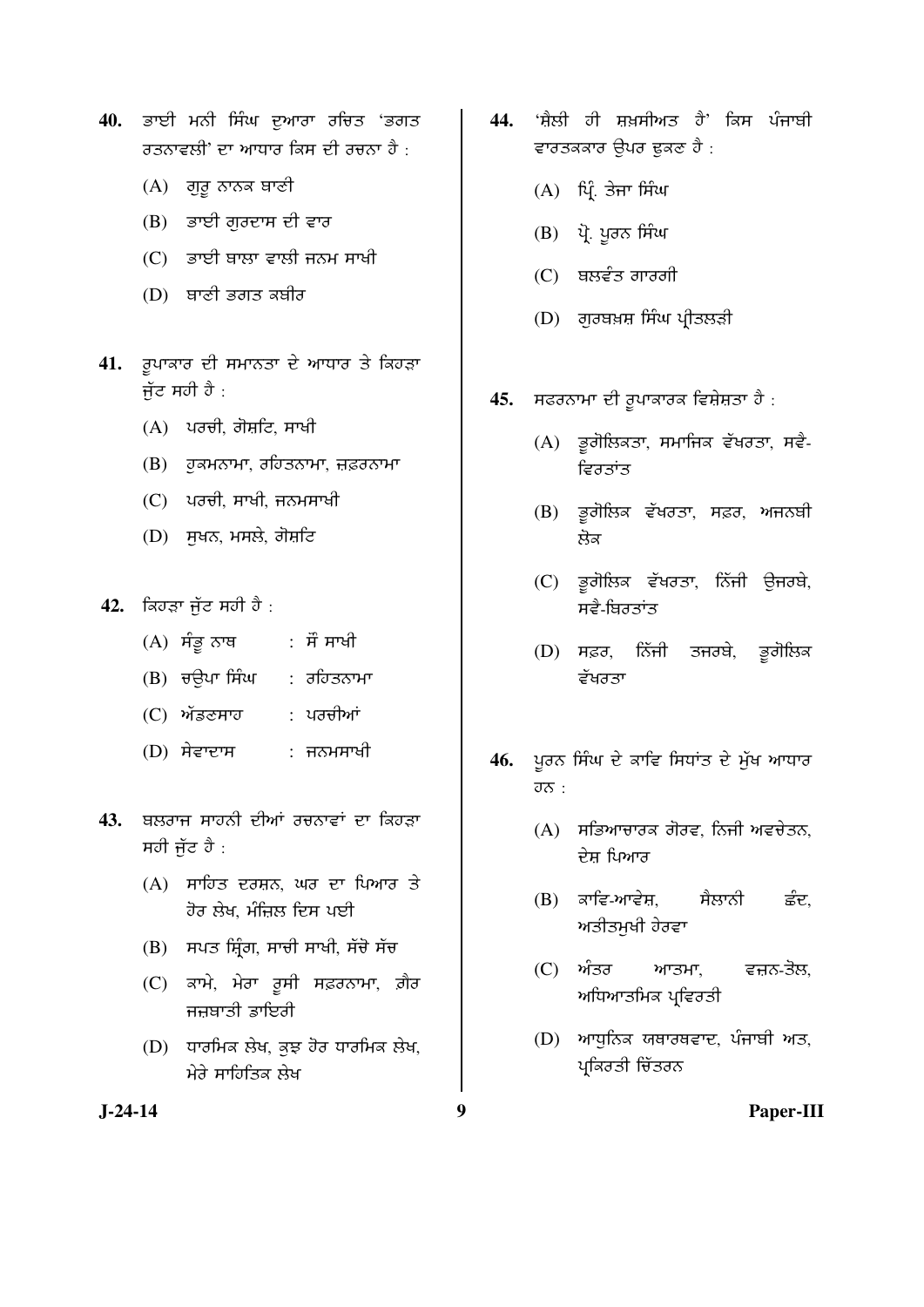- 40. ਭਾਈ ਮਨੀ ਸਿੰਘ ਦੁਆਰਾ ਰਚਿਤ 'ਭਗਤ <u>ਰਤਨਾਵਲੀ' ਦਾ ਆਧਾਰ ਕਿਸ ਦੀ ਰਚਨਾ ਹੈ ·</u>
	- $(A)$ ਂ ਗੁਰੂ ਨਾਨਕ ਬਾਣੀ
	- $(B)$  ਭਾਈ ਗੁਰਦਾਸ ਦੀ ਵਾਰ
	- $(C)$  ਡਾਈ ਬਾਲਾ ਵਾਲੀ ਜਨਮ ਸਾਖੀ
	- $(D)$  ਬਾਣੀ ਭਗਤ ਕਬੀਰ
- 41. ਰੁਪਾਕਾਰ ਦੀ ਸਮਾਨਤਾ ਦੇ ਆਧਾਰ ਤੇ ਕਿਹੜਾ ਜੱਟ ਸਹੀ ਹੈ $\,$ :
	- $(A)$  ਪੁਰਚੀ, ਗੋਸ਼ਟਿ, ਸਾਖੀ
	- $(B)$  ਹੁਕਮਨਾਮਾ, ਰਹਿਤਨਾਮਾ, ਜ਼ਫ਼ਰਨਾਮਾ
	- (C) ਪਰਚੀ, ਸਾਖੀ, ਜਨਮਸਾਖੀ
	- $(D)$  ਸੁਖਨ, ਮਸਲੇ, ਗੋਸ਼ਟਿ
- **42.** ਕਿਹੜਾ ਜੁੱਟ ਸਹੀ ਹੈ :
	- $(A)$  ਸੰਭੁਨਾਥ : ਸੌ ਸਾਖੀ
	- $(B)$  ਚੳਪਾ ਸਿੰਘ : ਰਹਿਤਨਾਮਾ
	- (C) ਅੱਡਣਸਾਹ : ਪਰਚੀਆਂ
	- $(D)$  ਸੇਵਾਦਾਸ : ਜਨਮਸਾਖੀ
- 43. ਬਲਰਾਜ ਸਾਹਨੀ ਦੀਆਂ ਰਚਨਾਵਾਂ ਦਾ ਕਿਹੜਾ ਸਹੀ ਜੁੱਟ ਹੈ $\cdot$ 
	- $(A)$  ਸਾਹਿਤ ਦਰਸ਼ਨ, ਘਰ ਦਾ ਪਿਆਰ ਤੇ <u>ਹੋਰ ਲੇਖ, ਮੰਜਿਲ ਦਿਸ ਪਈ</u>
	- $(B)$  ਸਪਤ ਸ਼ਿੰਗ, ਸਾਚੀ ਸਾਖੀ, ਸੱਚੋ ਸੱਚ
	- (C) ਕਾਮੇ, ਮੇਰਾ ਰੂਸੀ ਸਫ਼ਰਨਾਮਾ, ਗ਼ੈਰ ਜਜ਼ਬਾਤੀ ਡਾਇਰੀ
	- $(D)$  ਧਾਰਮਿਕ ਲੇਖ, ਕੁਝ ਹੋਰ ਧਾਰਮਿਕ ਲੇਖ, ਮੇਰੇ ਸਾਹਿਤਿਕ ਲੇਖ
- 44. *'ਸ਼ੈਲੀ ਹੀ ਸ਼ਖ਼ਸੀਅਤ ਹੈ' ਕਿਸ ਪੰਜਾਬੀ* ਵਾਰਤਕਕਾਰ ਉਪਰ ਢੁਕਣ ਹੈ :
	- $(A)$  ਪ੍ਰਿੰ. ਤੇਜਾ ਸਿੰਘ
	- (B) ਪੋ. ਪਰਨ ਸਿੰਘ
	- $(C)$  ਬਲਵੰਤ ਗਾਰਗੀ
	- $(D)$  ਗੁਰਬਖ਼ਸ਼ ਸਿੰਘ ਪ੍ਰੀਤਲੜੀ
- 45. **ਸਫਰਨਾਮਾ ਦੀ ਰੁਪਾਕਾਰਕ ਵਿਸ਼ੇਸ਼ਤਾ ਹੈ** :
	- (A) ਭੂਗੋਲਿਕਤਾ, ਸਮਾਜਿਕ ਵੱਖਰਤਾ, ਸਵੈ-ਵਿਰਤਾਂਤ
	- (B) ਭੂਗੋਲਿਕ ਵੱਖਰਤਾ, ਸਫ਼ਰ, ਅਜਨਬੀ ਸ਼ੋਕ
	- (C) ਭੂਗੋਲਿਕ ਵੱਖਰਤਾ, ਨਿੱਜੀ ਉਜਰਬੇ, ਸਵੈ-ਬਿਰਤਾਂਤ
	- (D) ਸਫ਼ਰ, ਨਿੱਜੀ ਤਜਰਬੇ, ਭੁਗੋਲਿਕ ਵੱਖਰਤਾ
- 46. ਪੂਰਨ ਸਿੰਘ ਦੇ ਕਾਵਿ ਸਿਧਾਂਤ ਦੇ ਮੁੱਖ ਆਧਾਰ  $\overline{\sigma}$  :
	- $(A)$  ਸਭਿਆਚਾਰਕ ਗੋਰਵ, ਨਿਜੀ ਅਵਚੇਤਨ, ਦੇਸ਼ ਪਿਆਰ
	- $(B)$  ਕਾਵਿ-ਆਵੇਸ਼. ਸੈਲਾਨੀ ਛੰਦ, ਅਤੀਤਮਖੀ ਹੇਰਵਾ
	- (C) ਅੰਤਰ ਆਤਮਾ, ਵਜ਼ਨ-ਤੋਲ, ਅਧਿਆਤ**ਮਿਕ ਪ੍ਰਵਿਰਤੀ**
	- $(D)$  ਆਧੁਨਿਕ ਯਥਾਰਥਵਾਦ, ਪੰਜਾਬੀ ਅਤ, ਪ੍ਰਕਿਰਤੀ ਚਿੱਤਰਨ

**J-24-14 9 Paper-III**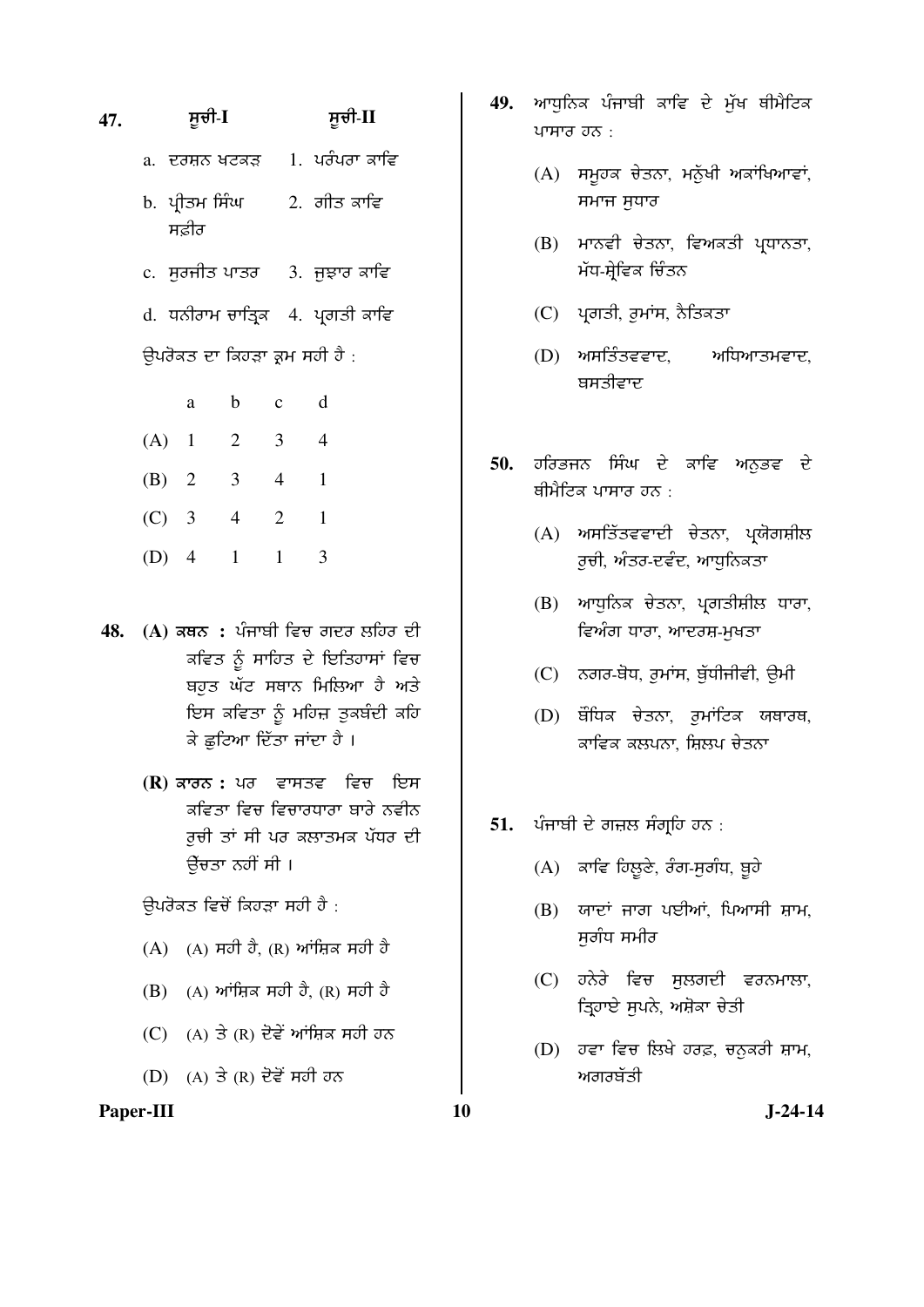### **47.** ÓÞ°Û-**I** ÓÞ°Û-**II**

- a. ਦਰਸ਼ਨ ਖਟਕੜ 1. ਪਰੰਪਰਾ ਕਾਵਿ
- b. ਪੀਤਮ ਸਿੰਘ ਸਫੀਰ  $2.$  ਗੀਤ ਕਾਵਿ
- $c.$  ਸਰਜੀਤ ਪਾਤਰ  $13.$  ਜੁਝਾਰ ਕਾਵਿ

d. ਧਨੀਰਾਮ ਚਾਤ੍ਰਿਕ 4. ਪ੍ਰਗਤੀ ਕਾਵਿ

ਉਪਰੋਕਤ ਦਾ ਕਿਹੜਾ ਕਮ ਸਹੀ ਹੈ :

|         | a | b              | $\mathbf c$ |   |
|---------|---|----------------|-------------|---|
| $(A)$ 1 |   | $\overline{2}$ | 3           |   |
| (B) 2   |   | 3              | 4           |   |
| $(C)$ 3 |   | 4              | 2           | 1 |
| $(D)$ 4 |   |                |             |   |

- 48. (A) ਕਥਨ : ਪੰਜਾਬੀ ਵਿਚ ਗਦਰ ਲਹਿਰ ਦੀ ਕਵਿਤ ਨੂੰ ਸਾਹਿਤ ਦੇ ਇਤਿਹਾਸਾਂ ਵਿਚ ਬਹੁਤ ਘੱਟ ਸਥਾਨ ਮਿਲਿਆ *ਹੈ* ਅਤੇ ਇਸ ਕਵਿਤਾ ਨੂੰ ਮਹਿਜ਼ ਤੁਕਬੰਦੀ ਕਹਿ ਕੇ ਛਟਿਆ ਦਿੱਤਾ ਜਾਂਦਾ ਹੈ ।
	- **(R)** ਕਾਰਨ : ਪਰ ਵਾਸਤਵ ਵਿਚ ਇਸ <u>ਕਵਿਤਾ ਵਿਚ ਵਿਚਾਰਧਾਰਾ ਬਾਰੇ ਨਵੀਨ</u> ਰੂਚੀ ਤਾਂ ਸੀ ਪਰ ਕਲਾਤਮਕ ਪੱਧਰ ਦੀ ਉੱਚਤਾ ਨਹੀਂ ਸੀ ।

ਉਪਰੋਕਤ ਵਿਚੋਂ ਕਿਹੜਾ ਸਹੀ ਹੈ :

- $(A)$   $(A)$   $\overline{H}$   $\overline{O}$   $\overline{O}$   $(R)$   $\overline{H}$  $\overline{H}$  $\overline{H}$   $\overline{H}$   $\overline{O}$   $\overline{O}$
- $(B)$  (A) ਆਂਸ਼ਿਕ ਸਹੀ ਹੈ, (R) ਸਹੀ ਹੈ
- $(C)$  (A) ਤੇ (R) ਦੋਵੇਂ ਆਂਸ਼ਿਕ ਸਹੀ ਹਨ
- $(D)$   $(A)$  ਤੇ  $(R)$  ਦੋਵੇਂ ਸਹੀ ਹਨ

#### Paper-III **10** J-24-14

- 49. ਆਧਨਿਕ ਪੰਜਾਬੀ ਕਾਵਿ ਦੇ ਮੱਖ ਥੀਮੈਟਿਕ ਪਾਸਾਰ ਹਨ $\cdot$ 
	- $(A)$  ਸਮੁਹਕ ਚੇਤਨਾ, ਮਨੁੱਖੀ ਅਕਾਂਖਿਆਵਾਂ, ਸਮਾਜ ਸੁਧਾਰ
	- $(B)$  ਮਾਨਵੀ ਚੇਤਨਾ, ਵਿਅਕਤੀ ਪ੍ਰਧਾਨਤਾ, ਮੱਧ-ਸ਼੍ਰੇਵਿਕ ਚਿੰਤਨ
	- (C) ਪ੍ਰਗਤੀ, ਰੁਮਾਂਸ, ਨੈਤਿਕਤਾ
	- $(D)$  ਅਸਤਿੰਤਵਵਾਦ, ਅਧਿਆਤਮਵਾਦ, ਬਸਤੀਵਾਦ
- 50. **ਹਰਿਭਜਨ ਸਿੰਘ ਦੇ ਕਾਵਿ ਅਨੁਭਵ** ਦੇ ਬੀਮੈਟਿਕ ਪਾਸਾਰ ਹਨ  $\cdot$ 
	- (A) ਅਸਤਿੱਤਵਵਾਦੀ ਚੇਤਨਾ, ਪਯੋਗਸ਼ੀਲ ਰਚੀ, ਅੰਤਰ-ਦਵੰਦ, ਆਧਨਿਕਤਾ
	- $(B)$  ਆਧੁਨਿਕ ਚੇਤਨਾ, ਪ੍ਰਗਤੀਸ਼ੀਲ ਧਾਰਾ, ਵਿਅੰਗ ਧਾਰਾ, ਆਦਰਸ਼-ਮਖਤਾ
	- $(C)$  ਨਗਰ-ਬੋਧ, ਰੁਮਾਂਸ, ਬੱਧੀਜੀਵੀ, ਉਮੀ
	- (D) ਬੌਧਿਕ ਚੇਤਨਾ, ਰੁਮਾਂਟਿਕ ਯਥਾਰਥ, ਕਾਵਿਕ ਕਲਪਨਾ, ਸ਼ਿਲਪ ਚੇਤਨਾ
- 51. ਪੰਜਾਬੀ ਦੇ ਗਜ਼ਲ ਸੰਗ੍ਰਹਿ ਹਨ :
	- $(A)$  ਕਾਵਿ ਹਿਲੂਣੇ, ਰੰਗ-ਸੁਗੰਧ, ਬੁਹੇ
	- $(B)$  ਯਾਦਾਂ ਜਾਗ ਪਈਆਂ, ਪਿਆਸੀ ਸ਼ਾਮ, ਸਗੰਧ ਸਮੀਰ
	- (C) ਹਨੇਰੇ ਵਿਚ ਸੁਲਗਦੀ ਵਰਨਮਾਲਾ, ੜਿਹਾਏ ਸੁਪਨੇ, ਅਸ਼ੋਕਾ ਚੇਤੀ
	- (D) ਹਵਾ ਵਿਚ ਲਿਖੇ ਹਰਫ਼, ਚਨੁਕਰੀ ਸ਼ਾਮ, ਅਗਰਬੱਤੀ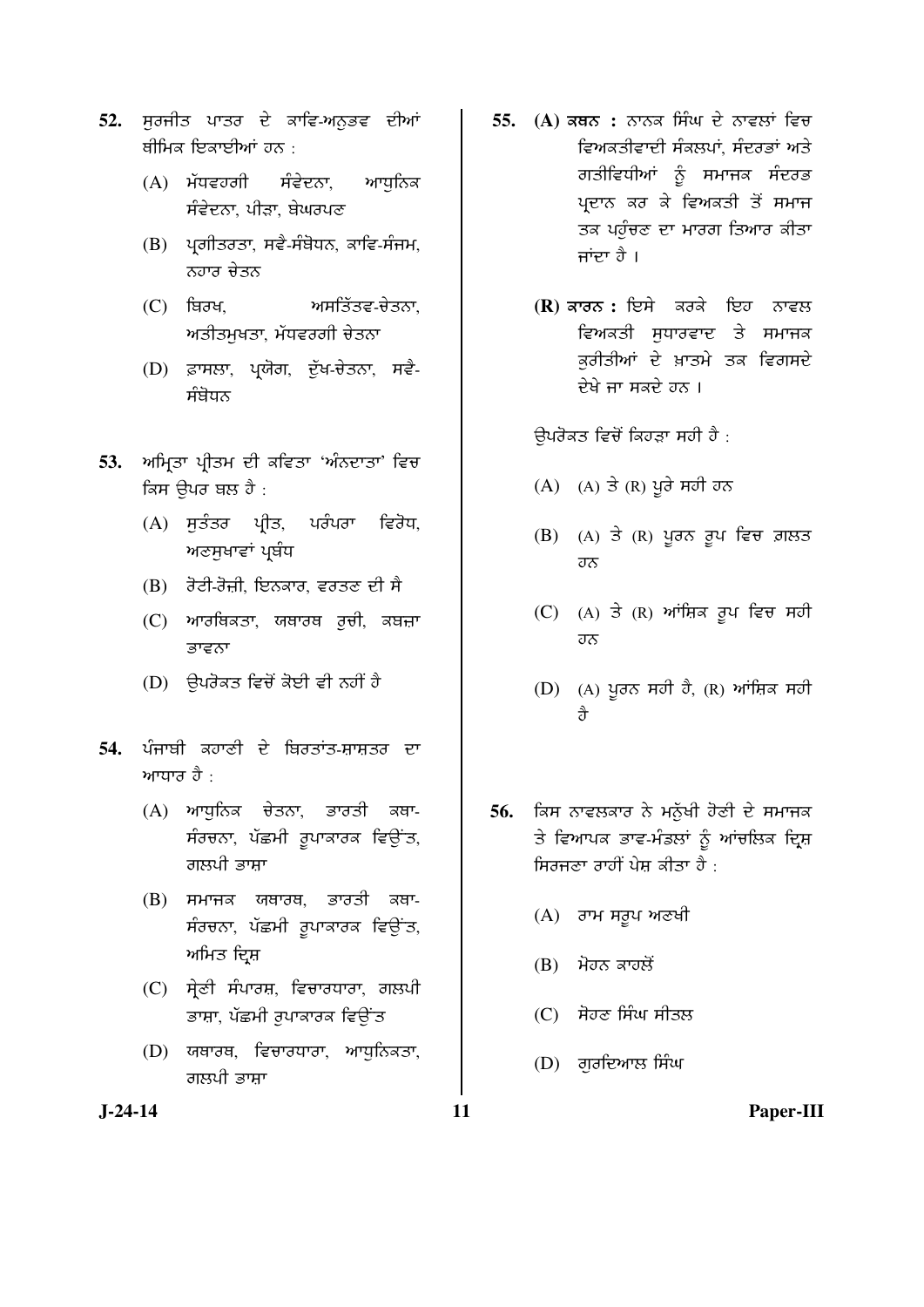- 52. ਸਰਜੀਤ ਪਾਤਰ ਦੇ ਕਾਵਿ-ਅਨੁਭਵ ਦੀਆਂ ਥੀਮਿਕ ਇਕਾਈਆਂ ਹਨ $\pm$ 
	- (A) ਮੱਧਵਹਗੀ ਸੰਵੇਦਨਾ, ਆਧੁਨਿਕ ਸੰਵੇਦਨਾ, ਪੀੜਾ, ਬੇਘਰਪਣ
	- $(B)$  ਪ੍ਰਗੀਤਰਤਾ, ਸਵੈ-ਸੰਬੋਧਨ, ਕਾਵਿ-ਸੰਜਮ, ਨਹਾਰ ਚੇਤਨ
	- $(C)$  ਬਿਰਖ, ਅਸਤਿੱਤਵ-ਚੇਤਨਾ, ਅਤੀਤਮਖਤਾ, ਮੱਧਵਰਗੀ ਚੇਤਨਾ
	- (D) ਫ਼ਾਸਲਾ, ਪ੍ਰਯੋਗ, ਦੁੱਖ-ਚੇਤਨਾ, ਸਵੈ-ਸੰਬੋਧਨ
- 53. ਅਮ੍ਰਿਤਾ ਪ੍ਰੀਤਮ ਦੀ ਕਵਿਤਾ 'ਅੰਨਦਾਤਾ' ਵਿਚ ਕਿਸ ੳਪਰ ਬਲ ਹੈ :
	- (A) ਸੁਤੰਤਰ ਪ੍ਰੀਤ, ਪਰੰਪਰਾ ਵਿਰੋਧ, ਅਣਸੁਖਾਵਾਂ ਪ੍ਰਬੰਧ
	- $(B)$  *ਰੋਟੀ-ਰੋ*ਜ਼ੀ, ਇਨਕਾਰ, ਵਰਤਣ ਦੀ ਸੈ
	- (C) ਆਰਥਿਕਤਾ, ਯਥਾਰਥ ਰਚੀ, ਕਬਜ਼ਾ ਭਾਵਨਾ
	- (D) ਉਪਰੋਕਤ ਵਿਚੋਂ ਕੋਈ ਵੀ ਨਹੀਂ ਹੈ
- 54. ਪੰਜਾਬੀ ਕਹਾਣੀ ਦੇ ਬਿਰਤਾਂਤ-ਸ਼ਾਸ਼ਤਰ ਦਾ ਆਧਾਰ ਹੈ $\cdot$ 
	- $(A)$  ਆਧੁਨਿਕ ਚੇਤਨਾ, ਭਾਰਤੀ ਕਥਾ-ਸੰਰਚਨਾ, ਪੱਛਮੀ ਰੁਪਾਕਾਰਕ ਵਿਉਂਤ, ਗਲਪੀ ਭਾਸ਼ਾ
	- $(B)$  ਸਮਾਜਕ ਯਥਾਰਥ, ਭਾਰਤੀ ਕਥਾ-ਸੰਰਚਨਾ, ਪੱਛਮੀ ਰੁਪਾਕਾਰਕ ਵਿਉਂਤ, ਅਮਿਤ ਦ੍ਰਿਸ਼
	- (C) ਸੇਣੀ ਸੰਪਾਰਸ਼, ਵਿਚਾਰਧਾਰਾ, ਗਲਪੀ ਭਾਸ਼ਾ, ਪੱਛਮੀ ਰੁਪਾਕਾਰਕ ਵਿਉਂਤ
	- $(D)$  ਯਥਾਰਥ, ਵਿਚਾਰਧਾਰਾ, ਆਧਨਿਕਤਾ, ਗਲਪੀ ਭਾਸ਼ਾ
- 55. (A) ਕਥਨ : ਨਾਨਕ ਸਿੰਘ ਦੇ ਨਾਵਲਾਂ ਵਿਚ ਵਿਅਕਤੀਵਾਦੀ ਸੰਕਲਪਾਂ, ਸੰਦਰਭਾਂ ਅਤੇ ਗਤੀਵਿਧੀਆਂ ਨੂੰ ਸਮਾਜਕ ਸੰਦਰਭ ਪ੍ਰਦਾਨ ਕਰ ਕੇ ਵਿਅਕਤੀ ਤੋਂ ਸਮਾਜ ਤਕ ਪਹੁੰਚਣ ਦਾ ਮਾਰਗ ਤਿਆਰ ਕੀਤਾ ਜਾਂਦਾ ਹੈ ।
	- **(R)** ਕਾਰਨ : ਇਸੇ ਕਰਕੇ ਇਹ ਨਾਵਲ ਵਿਅਕਤੀ ਸਧਾਰਵਾਦ ਤੇ ਸਮਾਜਕ ਕਰੀਤੀਆਂ ਦੇ ਖ਼ਾਤਮੇ ਤਕ ਵਿਗਸਦੇ ਦੇਖੇ ਜਾ ਸਕਦੇ ਹਨ ।

ਉਪਰੋਕਤ ਵਿਚੋਂ ਕਿਹੜਾ ਸਹੀ ਹੈ :

- $(A)$   $(A)$   $\exists$   $(R)$  ਪੂਰੇ ਸਹੀ ਹਨ
- $(B)$  (A) ਤੇ (R) ਪੂਰਨ ਰੂਪ ਵਿਚ ਗ਼ਲਤ ਹਨ
- $(C)$  (A) ਤੇ (R) ਆਂਸ਼ਿਕ ਰੂਪ ਵਿਚ ਸਹੀ ਹਨ
- $(D)$  (A) ਪੁਰਨ ਸਹੀ ਹੈ, (R) ਆਂਸ਼ਿਕ ਸਹੀ Õç
- 56. **ਕਿਸ ਨਾਵਲਕਾਰ ਨੇ ਮਨੱਖੀ ਹੋਣੀ ਦੇ ਸਮਾਜ**ਕ ਤੇ ਵਿਆਪਕ ਭਾਵ-ਮੰਡਲਾਂ ਨੂੰ ਆਂਚਲਿਕ ਦ੍ਰਿਸ਼ ਸ਼ਿਰਜੁਣਾ ਰਾਹੀਂ ਪੇਸ਼ ਕੀਤਾ ਹੈ $\cdot$ 
	- (A) ਰਾਮ ਸਰੂਪ ਅਣਖੀ
	- $(B)$  ਮੋਹਨ ਕਾਹਲੋਂ
	- $(C)$  ਸੋਹਣ ਸਿੰਘ ਸੀਤਲ
	- (D) ਗਰਦਿਆਲ ਸਿੰਘ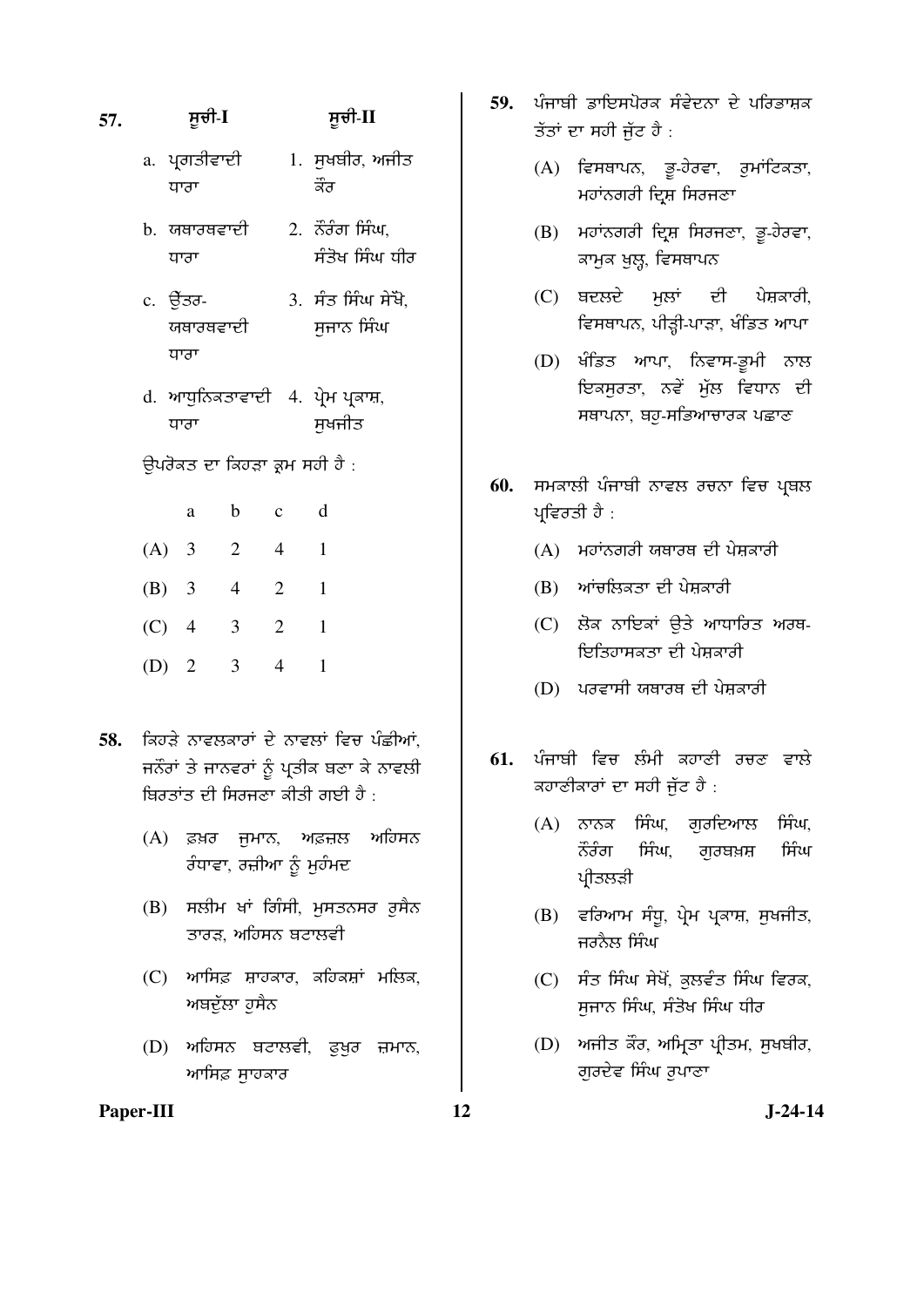## **57.** ÓÞ°Û-**I** ÓÞ°Û-**II**

- a. ਪ੍ਰਗਤੀਵਾਦੀ ਧਾਰਾ 1. ਸੁਖਬੀਰ, ਅਜੀਤ ਕੌਰ
- b. ਯਥਾਰਥਵਾਦੀ ਧਾਰਾ  $2.$   $\overline{5}$  $\overline{3}$  $\overline{5}$  $\overline{7}$  $\overline{1}$  $\overline{4}$  $\overline{4}$  $\overline{4}$  $\overline{4}$  $\overline{5}$ ਸੰਤੋਖ ਸਿੰਘ ਧੀਰ
- c. ਚੈਂਤਰ-ਯਥਾਰਥਵਾਦੀ ਧਾਰਾ  $3.$  ਸੰਤ ਸਿੰਘ ਸੇਖੋ. ਸਜਾਨ ਸਿੰਘ
- d. ਆਧੁਨਿਕਤਾਵਾਦੀ 4. ਪ੍ਰੇਮ ਪ੍ਰਕਾਸ਼, ਧਾਰਾ ਸਖਜੀਤ
- ਉਪਰੋਕਤ ਦਾ ਕਿਹੜਾ ਕ੍ਰਮ ਸਹੀ ਹੈ :

|         | a | b              | c              |  |
|---------|---|----------------|----------------|--|
| $(A)$ 3 |   | 2              | 4              |  |
| $(B)$ 3 |   | $\overline{4}$ | $\overline{2}$ |  |
| $(C)$ 4 |   | 3              | 2              |  |
| (D) 2   |   | 3              |                |  |

- 58. ਕਿਹਤੇ ਨਾਵਲਕਾਰਾਂ ਦੇ ਨਾਵਲਾਂ ਵਿਚ ਪੰਛੀਆਂ, ਜਨੌਰਾਂ ਤੇ ਜਾਨਵਰਾਂ ਨੂੰ ਪ੍ਰਤੀਕ ਬਣਾ ਕੇ ਨਾਵਲੀ ਬਿਰਤਾਂਤ ਦੀ ਸਿਰਜੁਣਾ ਕੀਤੀ ਗਈ ਹੈ  $\cdot$ 
	- (A) ਫ਼ਖ਼ਰ ਜੁਮਾਨ, ਅਫ਼ਜ਼ਲ ਅਹਿਸਨ ਰੰਧਾਵਾ, ਰਜ਼ੀਆ ਨੂੰ ਮੁਹੰਮਦ
	- (B) ਸਲੀਮ ਖਾਂ ਗਿੰਸੀ, ਮੁਸਤਨਸਰ ਰੁਸੈਨ ਤਾਰਡ, ਅਹਿਸਨ ਬਟਾਲਵੀ
	- $(C)$  ਆਸਿਫ਼ ਸ਼ਾਹਕਾਰ, ਕਹਿਕਸ਼ਾਂ ਮਲਿਕ, ਅਬਦੁੱਲਾ ਹੁਸੈਨ
	- (D) ਅਹਿਸਨ ਬਟਾਲਵੀ, ਫੁਖ਼ਰ ਜ਼ਮਾਨ, <u>ਆਸਿਫ਼ ਸਾ</u>ਹਕਾਰ
- Paper-III **12** J-24-14
- 59. ਪੰਜਾਬੀ ਡਾਇਸਪੋਰਕ ਸੰਵੇਦਨਾ ਦੇ ਪਰਿਭਾਸ਼ਕ ਤੱਤਾਂ ਦਾ ਸਹੀ ਜੱਟ ਹੈ $\cdot$ 
	- $(A)$  ਵਿਸਥਾਪਨ, ਭੂ-ਹੇਰਵਾ, ਰੁਮਾਂਟਿਕਤਾ, ਮਹਾਂਨਗਰੀ ਦ੍ਰਿਸ਼ ਸਿਰਜਣਾ
	- $(B)$  ਮਹਾਂਨਗਰੀ ਦ੍ਰਿਸ਼ ਸਿਰਜਣਾ, ਭੂ-ਹੇਰਵਾ, ਕਾਮਕ ਖਲ੍ਹ, ਵਿਸਥਾਪਨ
	- (C) ਬਦਲਦੇ ਮੁਲਾਂ ਦੀ ਪੇਸ਼ਕਾਰੀ, ਵਿਸਥਾਪਨ, ਪੀੜ੍ਹੀ-ਪਾੜਾ, ਖੰਡਿਤ ਆਪਾ
	- (D) ਖੰਡਿਤ ਆਪਾ, ਨਿਵਾਸ-ਭੂਮੀ ਨਾਲ ਇਕਸਰਤਾ, ਨਵੇਂ ਮੁੱਲ ਵਿਧਾਨ ਦੀ ਸਥਾਪਨਾ, ਥਹੂ-ਸਭਿਆਚਾਰਕ ਪਛਾਣ
- 60. **ਸਮਕਾਲੀ ਪੰਜਾਬੀ ਨਾਵਲ ਰਚਨਾ ਵਿਚ ਪ੍ਰ**ਬਲ ਪ੍ਰਵਿਰਤੀ ਹੈ $\colon$ 
	- $(A)$  ਮਹਾਂਨਗਰੀ ਯਥਾਰਥ ਦੀ ਪੇਸ਼ਕਾਰੀ
	- $(B)$  ਆਂਚਲਿਕਤਾ ਦੀ ਪੇਸ਼ਕਾਰੀ
	- (C) ਲੋਕ ਨਾਇਕਾਂ ੳਤੇ ਆਧਾਰਿਤ ਅਰਥ-ਇਤਿਹਾਸਕਤਾ ਦੀ ਪੇਸ਼ਕਾਰੀ
	- $(D)$  ਪਰਵਾਸੀ ਯਥਾਰਥ ਦੀ ਪੇਸ਼ਕਾਰੀ
- <mark>61.</mark> ਪੰਜਾਬੀ ਵਿਚ ਲੰਮੀ ਕਹਾਣੀ ਰਚਣ ਵਾਲੇ ਕਹਾਣੀਕਾਰਾਂ ਦਾ ਸਹੀ ਜੁੱਟ ਹੈ :
	- $(A)$  ਨਾਨਕ ਸਿੰਘ, ਗਰਦਿਆਲ ਸਿੰਘ,  $\ddot{\tilde{\mathcal{R}}}$ ਰੰਗ ਸਿੰਘ, ਗੁਰਬਖ਼ਸ਼ ਸਿੰਘ ਪ੍ਰੀਤਲੜੀ
	- $(B)$  ਵਰਿਆਮ ਸੰਧੂ, ਪ੍ਰੇਮ ਪ੍ਰਕਾਸ਼, ਸੁਖਜੀਤ, ਜਰਨੈਲ ਸਿੰਘ
	- $(C)$  ਸੰਤ ਸਿੰਘ ਸੇਖੋਂ, ਕਲਵੰਤ ਸਿੰਘ ਵਿਰਕ, ਸੁਜਾਨ ਸਿੰਘ, ਸੰਤੋਖ ਸਿੰਘ ਧੀਰ
	- $(D)$  ਅਜੀਤ ਕੌਰ, ਅਮਿਤਾ ਪੀਤਮ, ਸਖਬੀਰ, ਗੁਰਦੇਵ ਸਿੰਘ ਰੁਪਾਣਾ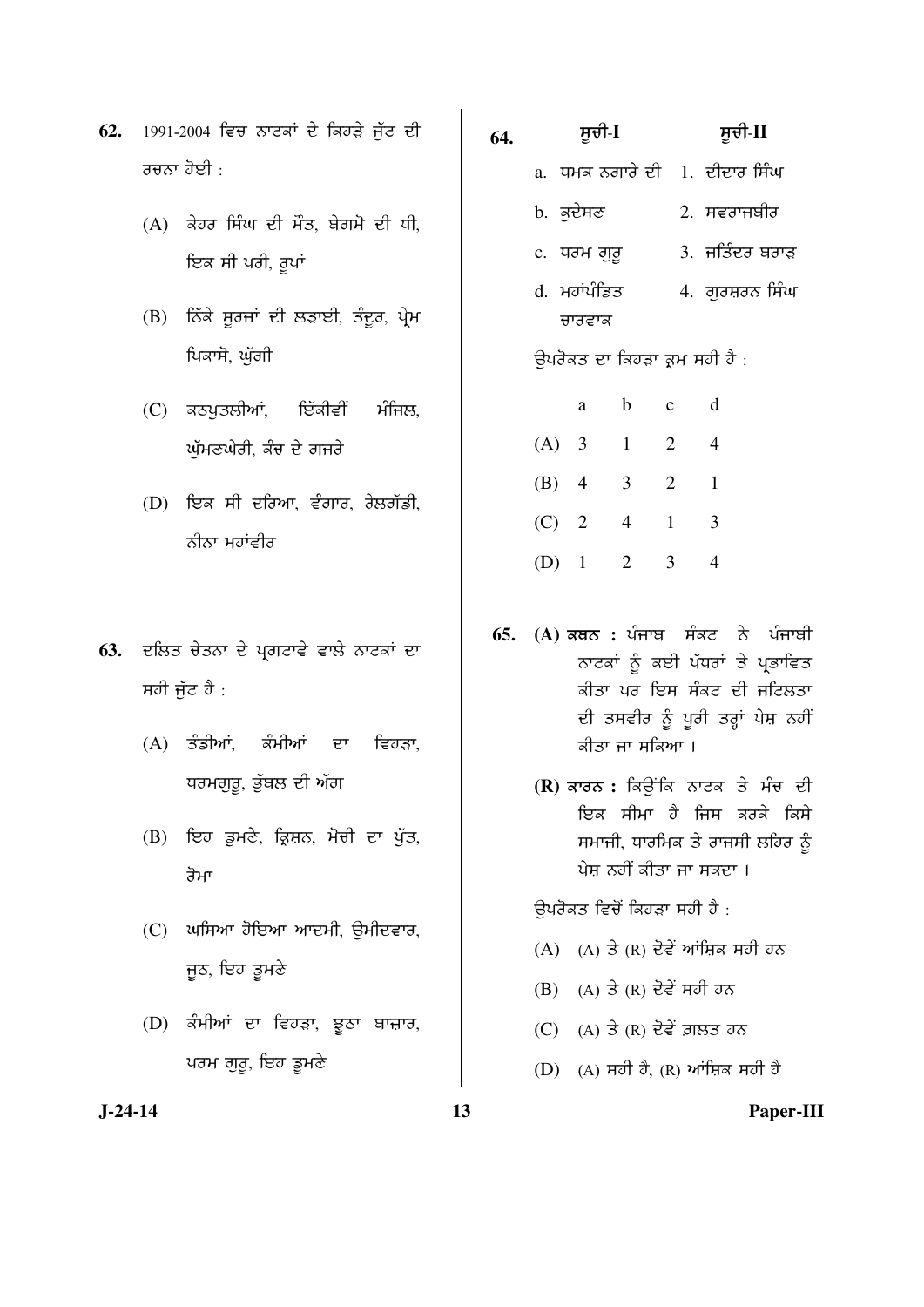- **62.** 1991-2004 ਵਿਚ ਨਾਟਕਾਂ ਦੇ ਕਿਹੜੇ ਜੁੱਟ ਦੀ ਰਚਨਾ ਹੋਈ :
	- $(A)$  ਕੇਹਰ ਸਿੰਘ ਦੀ ਮੌਤ, ਬੇਗਮੋ ਦੀ ਧੀ, ਇਕ ਸੀ ਪਰੀ, ਰੂਪਾਂ
	- $(B)$  ਨਿੱਕੇ ਸੁਰਜਾਂ ਦੀ ਲੜਾਈ, ਤੰਦੁਰ, ਪ੍ਰੇਮ ਪਿਕਾਸੋ, ਘੁੱਗੀ
	- (C) ਕਠਪੁਤਲੀਆਂ, ਇੱਕੀਵੀਂ ਮੰਜਿਲ, ਘੁੱਮਣਘੇਰੀ, ਕੰਚ ਦੇ ਗਜਰੇ
	- $(D)$  ਇਕ ਸੀ ਦਰਿਆ, ਵੰਗਾਰ, ਰੇਲਗੱਡੀ, ਨੀਨਾ ਮਹਾਂਵੀਰ
- 63. *ਦਲਿਤ ਚੇਤਨਾ ਦੇ ਪ੍ਰਗਟਾਵੇ ਵਾਲੇ ਨਾਟਕਾਂ ਦਾ* ਸਹੀ ਜੱਟ ਹੈ $\cdot$ 
	- $(A)$  ਤੰਡੀਆਂ, ਕੰਮੀਆਂ ਦਾ ਵਿਹੜਾ, ਧਰਮਗੁਰੂ, ਭੁੱਬਲ ਦੀ ਅੱਗ
	- (B) ਇਹ ਡੁਮਣੇ, ਕ੍ਰਿਸ਼ਨ, ਮੋਚੀ ਦਾ ਪੁੱਤ, ਰੋਮਾ
	- $(C)$  ਘਸਿਆ ਹੋਇਆ ਆਦਮੀ, ੳਮੀਦਵਾਰ, ਜੂਠ, ਇਹ ਡੂਮਣੇ
	- (D) ਕੰਮੀਆਂ ਦਾ ਵਿਹੜਾ, ਝੂਠਾ ਬਾਜ਼ਾਰ, ਪਰਮ ਗੁਰੂ, ਇਹ ਡੂਮਣੇ
- **64.** ÓÞ°Û-**I** ÓÞ°Û-**II** 
	- a. ਧਮਕ ਨਗਾਰੇ ਦੀ 1. ਦੀਦਾਰ ਸਿੰਘ
	- $b.$  ਕਦੇਸਣ 2. ਸਵਰਾਜਬੀਰ
		- c. ਧਰਮ ਗੁਰੁ 3. ਜਤਿੰਦਰ ਬਰਾੜ
	- d. ਮਹਾਂਪੰਡਿਤ ਚਾਰਵਾਕ 4. ਗੁਰਸ਼ਰਨ ਸਿੰਘ

ਉਪਰੋਕਤ ਦਾ ਕਿਹੜਾ ਕ੍ਰਮ ਸਹੀ ਹੈ :

|         | a              | b | $\mathbf c$    | d |
|---------|----------------|---|----------------|---|
| $(A)$ 3 |                | 1 | $\overline{2}$ |   |
| (B)     | $\overline{4}$ | 3 | $\overline{2}$ |   |
| $(C)$ 2 |                | 4 | 1              | 3 |
| (D)     | $\overline{1}$ | 2 | 3              |   |

- **65. (A) ਕਥਨ :** ਪੰਜਾਬ ਸੰਕਟ ਨੇ ਪੰਜਾਬੀ ਨਾਟਕਾਂ ਨੂੰ ਕਈ ਪੱਧਰਾਂ ਤੇ ਪ੍ਰਭਾਵਿਤ ਕੀਤਾ ਪਰ ਇਸ ਸੰਕਟ ਦੀ ਜਟਿਲਤਾ ਦੀ ਤਸਵੀਰ ਨੂੰ ਪੂਰੀ ਤਰ੍ਹਾਂ ਪੇਸ਼ ਨਹੀਂ ਕੀਤਾ ਜਾ ਸਕਿਆ ।
	- **(R)** ਕਾਰਨ : ਕਿਉਂਕਿ ਨਾਟਕ ਤੇ ਮੰਚ ਦੀ ਇਕ ਸੀਮਾ ਹੈ ਜਿਸ ਕਰਕੇ ਕਿਸੇ ਸਮਾਜੀ, ਧਾਰਮਿਕ ਤੇ ਰਾਜਸੀ ਲਹਿਰ ਨੂੰ ਪੇਸ਼ ਨਹੀਂ ਕੀਤਾ ਜਾ ਸਕਦਾ ।

ਉਪਰੋਕਤ ਵਿਚੋਂ ਕਿਹੜਾ ਸਹੀ ਹੈ :

- $(A)$   $(A)$   $\exists$   $(R)$  ਦੋਵੇਂ ਆਂਜ਼ਿਕ ਸਹੀ ਹਨ
- $(B)$   $(A)$   $\overrightarrow{d}$   $(R)$   $\overrightarrow{d}$  $\overrightarrow{d}$   $\overrightarrow{d}$   $\overrightarrow{d}$   $\overrightarrow{d}$
- $(C)$   $(A)$  ਤੇ  $(R)$  ਦੋਵੇਂ ਗ਼ਲਤ ਹਨ
- $(D)$  (A) ਸਹੀ ਹੈ, (R) ਆਂਸ਼ਿਕ ਸਹੀ ਹੈ

**J-24-14 13 Paper-III**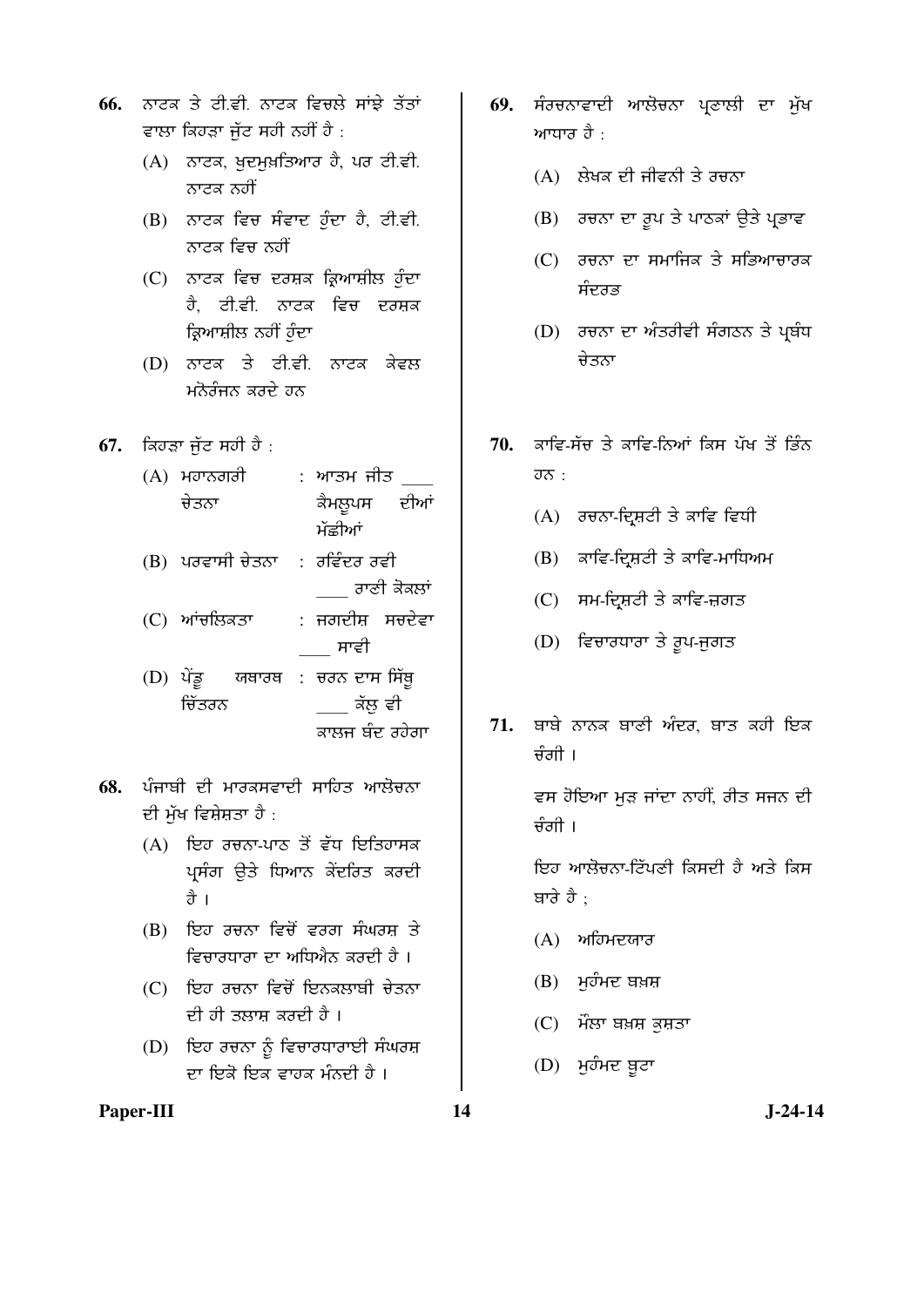- **66.** ਨਾਟਕ ਤੇ ਟੀਵੀ ਨਾਟਕ ਵਿਚਲੇ ਸਾਂਝੇ ਤੱਤਾਂ ਵਾਲਾ ਕਿਹੜਾ ਜੱਟ ਸਹੀ ਨਹੀਂ ਹੈ $\,$ :
	- $(A)$  ਨਾਟਕ, ਖਦਮਖ਼ਤਿਆਰ ਹੈ, ਪਰ ਟੀ.ਵੀ. ਨਾਟਕ ਨਹੀਂ
	- $(B)$  ਨਾਟਕ ਵਿਚ ਸੰਵਾਦ ਹੁੰਦਾ ਹੈ, ਟੀ.ਵੀ. ਨਾਟਕ ਵਿਚ ਨਹੀਂ
	- (C) ਨਾਟਕ ਵਿਚ ਦਰਸ਼ਕ ਕ੍ਰਿਆਸ਼ੀਲ ਹੁੰਦਾ ਹੈ. ਟੀ.ਵੀ. ਨਾਟਕ ਵਿਚ ਦਰਸ਼ਕ ਕਿਆਸ਼ੀਲ ਨਹੀਂ ਹੁੰਦਾ
	- (D) ਨਾਟਕ ਤੇ ਟੀ.ਵੀ. ਨਾਟਕ ਕੇਵਲ ਮਨੋਰੰਜਨ ਕਰਦੇ ਹਨ
- **67.** ਕਿਹੜਾ ਜੁੱਟ ਸਹੀ ਹੈ :
	- $(A)$  ਮਹਾਨਗਰੀ ਚੇਤਨਾ : ਆਤਮ ਜੀਤ ਕੈਮਲੁਪਸ ਦੀਆਂ ਮੱਛੀਆਂ
	- $(B)$  ਪਰਵਾਸੀ ਚੇਤਨਾ : ਰਵਿੰਦਰ ਰਵੀ ਹਾਣੀ ਕੋਕਲਾਂ
	- (C) ਆਂਚਲਿਕਤਾ : ਜਗਦੀਸ਼ ਸਚਦੇਵਾ ਸਾਵੀ
	- (D) ਪੇਂਡੂ ਚਿੱਤਰਨ <u>ਯਥਾਰਥ : ਚਰਨ ਦਾਸ ਸਿੱਥ</u>ੁ ਕੱਲ ਵੀ ਕਾਲਜ ਬੰਦ ਰਹੇਗਾ
- <mark>68.</mark> ਪੰਜਾਬੀ ਦੀ ਮਾਰਕਸਵਾਦੀ ਸਾਹਿਤ ਆਲੋਚਨਾ <u>ਦੀ ਮੁੱਖ ਵਿਸ਼ੇਸ਼ਤਾ ਹੈ :</u>
	- $(A)$  ਇਹ ਰਚਨਾ-ਪਾਠ ਤੋਂ ਵੱਧ ਇਤਿਹਾਸਕ ਪ੍ਰਸੰਗ ਉਤੇ ਧਿਆਨ ਕੇਂਦਰਿਤ ਕਰਦੀ तै ।
	- (B) ਇਹ ਰਚਨਾ ਵਿਚੋਂ ਵਰਗ ਸੰਘਰਸ਼ ਤੇ ਵਿਚਾਰਧਾਰਾ ਦਾ ਅਧਿਐਨ ਕਰਦੀ ਹੈ ।
	- (C) ਇਹ ਰਚਨਾ ਵਿਚੋਂ ਇਨਕਲਾਬੀ ਚੇਤਨਾ <u>ਦੀ ਹੀ ਤਲਾਸ ਕਰਦੀ ਹੈ ।</u>
	- $(D)$  ਇਹ ਰਚਨਾ ਨੂੰ ਵਿਚਾਰਧਾਰਾਈ ਸੰਘਰਸ਼ ਦਾ ਇਕੋ ਇਕ ਵਾਹਕ ਮੰਨਦੀ ਹੈ ।
- Paper-III **14** J-24-14
- 69. ਸੰਰਚਨਾਵਾਦੀ ਆਲੋਚਨਾ ਪ੍ਰਣਾਲੀ ਦਾ ਮੁੱਖ ਆਧਾਰ ਹੈ $\pm$ 
	- $(A)$  ਲੇਖਕ ਦੀ ਜੀਵਨੀ ਤੇ ਰਚਨਾ
	- (B) ਰਚਨਾ ਦਾ ਰੂਪ ਤੇ ਪਾਠਕਾਂ ਉਤੇ ਪ੍ਰਭਾਵ
	- $(C)$  ਰਚਨਾ ਦਾ ਸਮਾਜਿਕ ਤੇ ਸਭਿਆਚਾਰਕ ਸੰਦਰਭ
	- (D) ਰਚਨਾ ਦਾ ਅੰਤਰੀਵੀ ਸੰਗਠਨ ਤੇ ਪ੍ਰਬੰਧ ਚੇਤਨਾ
- 70. ਭਾਵਿ-ਸੱਚ ਤੇ ਭਾਵਿ-ਨਿਆਂ ਕਿਸ ਪੱਖ ਤੋਂ ਭਿੰਨ  $\overline{\sigma\sigma}$  :
	- $(A)$ ਂ ਰਚਨਾ-ਦ੍ਰਿਸ਼ਟੀ ਤੇ ਕਾਵਿ ਵਿਧੀ
	- $(B)$  ਕਾਵਿ-ਦ੍ਰਿਸ਼ਟੀ ਤੇ ਕਾਵਿ-ਮਾਧਿਅਮ
	- $(C)$  ਸਮ-ਦ੍ਰਿਸ਼ਟੀ ਤੇ ਕਾਵਿ-ਜ਼ਗਤ
	- $(D)$  ਵਿਚਾਰਧਾਰਾ ਤੇ ਰੂਪ-ਜੁਗਤ
- 71. **ਬਾਬੇ ਨਾਨਕ ਬਾਣੀ ਅੰਦਰ. ਬਾਤ ਕਹੀ** ਇਕ ਚੰਗੀ ।

ਵਸ ਹੋਇਆ ਮੁੜ ਜਾਂਦਾ ਨਾਹੀਂ, ਗੀਤ ਸਜਨ ਦੀ  $\frac{1}{2}$ ਰੀ ।

ਇਹ ਆਲੋਚਨਾ-ਟਿੱਪਣੀ ਕਿਸਦੀ ਹੈ ਅਤੇ ਕਿਸ ਬਾਰੇ ਹੈ ;

- $(A)$  ਅਹਿਮਦਯਾਰ
- $(B)$  ਮੁਹੰਮਦ ਬਖ਼ਸ਼
- $(C)$  ਮੌਲਾ ਬਖ਼ਸ਼ ਕੁਸ਼ਤਾ
- $(D)$  ਮੁਹੰਮਦ ਬੁਟਾ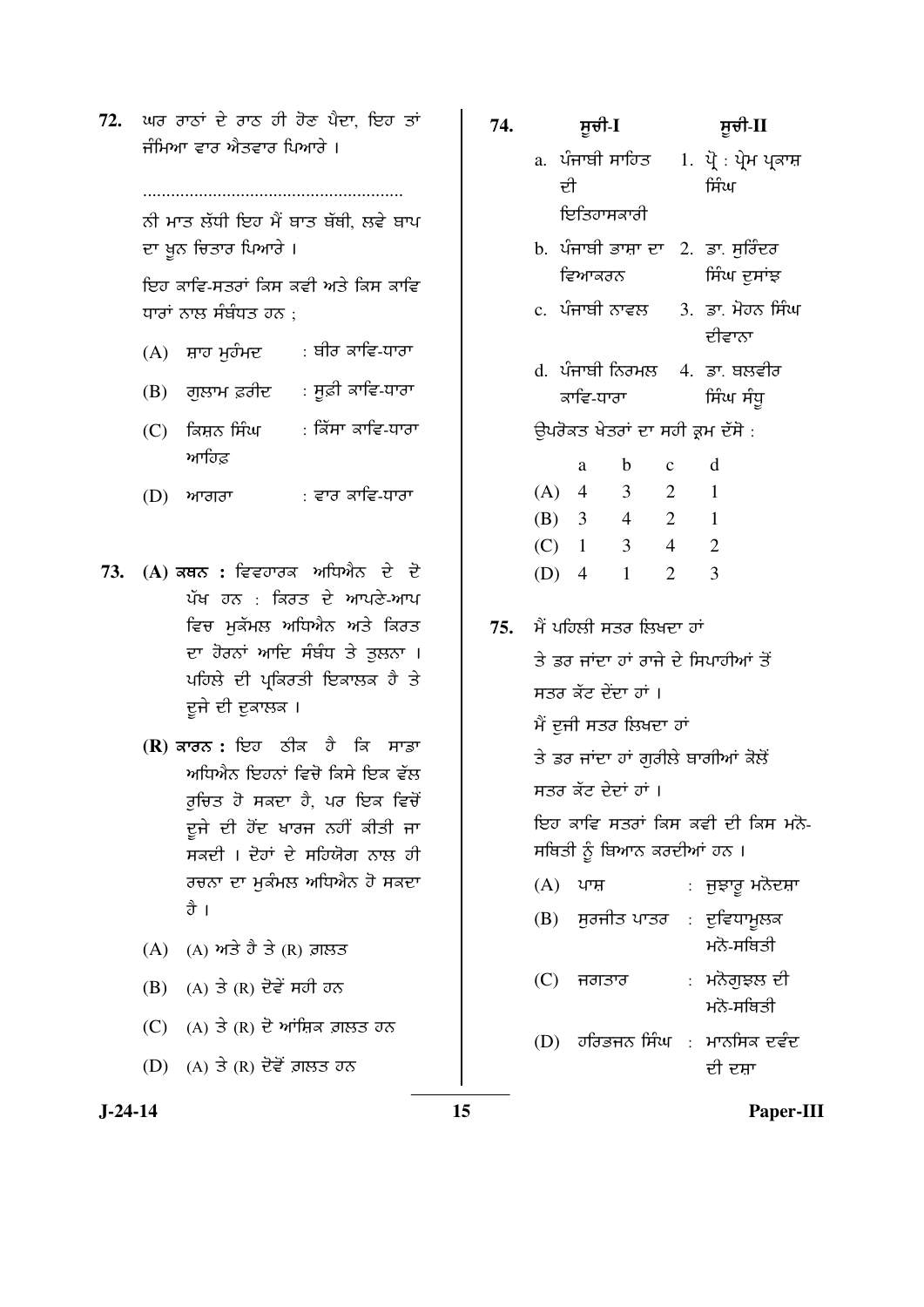72. ਘਰ ਰਾਠਾਂ ਦੇ ਰਾਠ ਹੀ ਹੋਣ ਪੈਦਾ, ਇਹ ਤਾਂ ਜੰਮਿਆ ਵਾਰ ਐਤਵਾਰ ਪਿਆਰੇ ।

> ........................................................ ਨੀ ਮਾਤ ਲੱਧੀ ਇਹ ਮੈਂ ਬਾਤ ਬੱਬੀ, ਲਵੇ ਬਾਪ

<u>ਦਾ ਖੂਨ ਚਿਤਾਰ ਪਿਆਰੇ ।</u>

<u>ਇਹ ਕਾਵਿ-ਸਤਰਾਂ ਕਿਸ ਕਵੀ ਅਤੇ ਕਿਸ ਕਾਵਿ</u> ਧਾਰਾਂ ਨਾਲ ਸੰਬੰਧਤ ਹਨ :

- $(A)$  ਸ਼ਾਹ ਮੁਹੰਮਦ : ਬੀਰ ਕਾਵਿ-ਧਾਰਾ
- $(B)$  ਗੁਲਾਮ ਫ਼ਰੀਦ : ਸੂਫ਼ੀ ਕਾਵਿ-ਧਾਰਾ
- $(C)$  ਕਿਸ਼ਨ ਸਿੰਘ ਆਹਿਫ <u>:</u> ਕਿੱਸਾ ਕਾਵਿ-ਧਾਰਾ
- $(D)$  ਆਗਰਾ : ਵਾਰ ਕਾਵਿ-ਧਾਰਾ
- 73. (A) ਕਥਨ : ਵਿਵਹਾਰਕ ਅਧਿਐਨ ਦੇ ਦੋ ਪੱਖ ਹਨ : ਕਿਰਤ ਦੇ ਆਪਣੇ-ਆਪ ਵਿਚ **ਮੁਕੱਮਲ ਅਧਿਐਨ ਅਤੇ ਕਿਰ**ਤ ਦਾ ਹੋਰਨਾਂ ਆਦਿ ਸੰਬੰਧ ਤੇ ਤੁਲਨਾ । ਪਹਿਲੇ ਦੀ ਪ੍ਰਕਿਰਤੀ ਇਕਾਲਕ ਹੈ ਤੇ ਦੂਜੇ ਦੀ ਦੁਕਾਲਕ ।
	- **(R)** ਕਾਰਨ : ਇਹ ਠੀਕ ਹੈ ਕਿ ਸਾਡਾ <u>ਅਧਿਐਨ ਇਹਨਾਂ ਵਿਚੋ ਕਿਸੇ ਇਕ ਵੱਲ</u> ਰਚਿਤ ਹੋ ਸਕਦਾ ਹੈ, ਪਰ ਇਕ ਵਿਚੋਂ ਦੂਜੇ ਦੀ ਹੋਂਦ ਖਾਰਜ ਨਹੀਂ ਕੀਤੀ ਜਾ ਸਕਦੀ । ਦੋਹਾਂ ਦੇ ਸਹਿਯੋਗ ਨਾਲ ਹੀ ਰਚਨਾ ਦਾ ਮਕੰਮਲ ਅਧਿਐਨ **ਹੋ ਸਕ**ਦਾ ਹੈ ।
	- $(A)$   $(A)$  ਅਤੇ ਹੈ ਤੇ  $(R)$  ਗ਼ਲਤ
	- $(B)$  (A) ਤੇ  $(R)$  ਦੋਵੇਂ ਸਹੀ ਹਨ
	- $(C)$   $(A)$  ਤੇ  $(R)$  ਦੋ ਆਂਸ਼ਿਕ ਗ਼ਲਤ ਹਨ
	- $(D)$   $(A)$  ਤੇ  $(R)$  ਦੋਵੇਂ ਗ਼ਲਤ ਹਨ
- **74.** ÓÞ°Û-**I** ÓÞ°Û-**II**  a. ਪੰਜਾਬੀ ਸਾਹਿਤ ਦੀ ਇਤਿਹਾਸਕਾਰੀ  $1.$  ਪੋ $:$  ਪੇ੍ਮ ਪ੍ਰਕਾਸ਼ ਸੰਿਘ b. ਪੰਜਾਬੀ ਭਾਸ਼ਾ ਦਾ 2. ਡਾ. ਸੁਰਿੰਦਰ ਵਿਆਕਰਨ ਸਿੰਘ ਦੁਸਾਂਝ
	- c. ਪੰਜਾਬੀ ਨਾਵਲ 3. ਡਾ. ਮੋਹਨ ਸਿੰਘ ਦੀਵਾਨਾ
	- d. ਪੰਜਾਬੀ ਨਿਰਮਲ ਕਾਵਿ-ਧਾਰਾ 4. ਡਾ. ਬਲਵੀਰ ਸਿੰਘ ਸੰਧ
	- ਉਪਰੋਕਤ ਖੇਤਰਾਂ ਦਾ ਸਹੀ ਕਮ ਦੱਸੋ :

|     | a              | b | $\mathbf c$           | d |
|-----|----------------|---|-----------------------|---|
| (A) | 4              | 3 | 2                     | 1 |
| (B) | $\overline{3}$ | 4 | 2                     | 1 |
| (C) | $\mathbf{1}$   | 3 | 4                     | 2 |
| (D) | $\overline{4}$ |   | $\mathcal{D}_{\cdot}$ | 3 |

75. ਮੈਂ ਪਹਿਲੀ ਸਤਰ ਲਿਖਦਾ ਹਾਂ

<u>ਤੇ ਡਰ ਜਾਂਦਾ ਹਾਂ ਰਾਜੇ ਦੇ ਸਿਪਾਹੀਆਂ ਤੋਂ</u> ਸਤਰ ਕੌਟ ਦੇਂਦਾ ਹਾਂ । ਮੈਂ ਦੂਜੀ ਸਤਰ ਲਿਖਦਾ ਹਾਂ ਤੇ ਡਰ ਜਾਂਦਾ ਹਾਂ ਗਰੀਲੇ ਬਾਗੀਆਂ ਕੋਲੋਂ ਸਤਰ ਕੱਟ ਦੇਦਾਂ ਹਾਂ । ਇਹ ਕਾਵਿ ਸਤਰਾਂ ਕਿਸ ਕਵੀ ਦੀ ਕਿਸ ਮਨੋ-ਸਥਿਤੀ ਨੂੰ ਬਿਆਨ ਕਰਦੀਆਂ ਹਨ ।

- (A) ਪਾਸ਼ : ਜੁਝਾਰੁ ਮਨੋਦਸ਼ਾ
- $(B)$  ਸੁਰਜੀਤ ਪਾਤਰ : ਦੁਵਿਧਾਮੁਲਕ ਮਨੋ-ਸਥਿਤੀ
- (C) ਜਗਤਾਰ : ਮਨੋਗਝਲ ਦੀ ਮਨੋ-ਸਥਿਤੀ
- (D)  $\vec{0}$ ਹਰਿਭਜਨ ਸਿੰਘ : ਮਾਨਸਿਕ ਦਵੰਦ ਦੀ ਦਸਾ

**J-24-14 15 Paper-III**